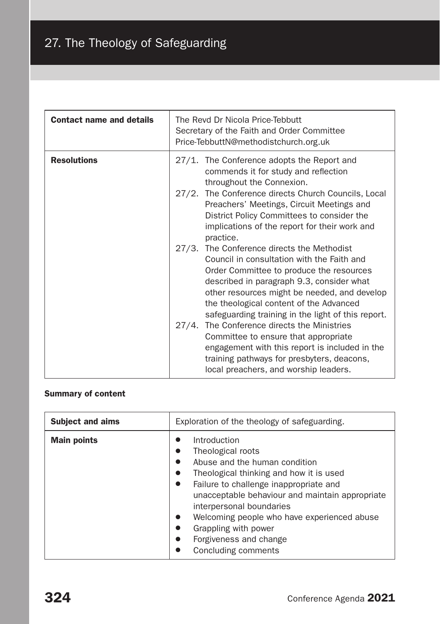# 27. The Theology of Safeguarding

| <b>Contact name and details</b> | The Revd Dr Nicola Price-Tebbutt<br>Secretary of the Faith and Order Committee<br>Price-TebbuttN@methodistchurch.org.uk                                                                                                                                                                                                            |
|---------------------------------|------------------------------------------------------------------------------------------------------------------------------------------------------------------------------------------------------------------------------------------------------------------------------------------------------------------------------------|
| <b>Resolutions</b>              | 27/1. The Conference adopts the Report and<br>commends it for study and reflection<br>throughout the Connexion.<br>27/2. The Conference directs Church Councils, Local<br>Preachers' Meetings, Circuit Meetings and<br>District Policy Committees to consider the<br>implications of the report for their work and<br>practice.    |
|                                 | 27/3. The Conference directs the Methodist<br>Council in consultation with the Faith and<br>Order Committee to produce the resources<br>described in paragraph 9.3, consider what<br>other resources might be needed, and develop<br>the theological content of the Advanced<br>safeguarding training in the light of this report. |
|                                 | 27/4. The Conference directs the Ministries<br>Committee to ensure that appropriate<br>engagement with this report is included in the<br>training pathways for presbyters, deacons,<br>local preachers, and worship leaders.                                                                                                       |

# Summary of content

| <b>Subject and aims</b> | Exploration of the theology of safeguarding.                                                                                                                                                                                                                                                                                                                   |
|-------------------------|----------------------------------------------------------------------------------------------------------------------------------------------------------------------------------------------------------------------------------------------------------------------------------------------------------------------------------------------------------------|
| <b>Main points</b>      | Introduction<br>Theological roots<br>Abuse and the human condition<br>Theological thinking and how it is used<br>Failure to challenge inappropriate and<br>unacceptable behaviour and maintain appropriate<br>interpersonal boundaries<br>Welcoming people who have experienced abuse<br>Grappling with power<br>Forgiveness and change<br>Concluding comments |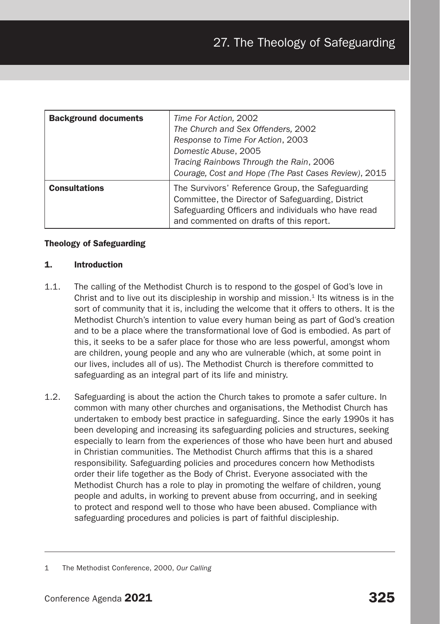| <b>Background documents</b> | Time For Action, 2002<br>The Church and Sex Offenders, 2002<br>Response to Time For Action, 2003<br>Domestic Abuse, 2005<br>Tracing Rainbows Through the Rain, 2006<br>Courage, Cost and Hope (The Past Cases Review), 2015 |
|-----------------------------|-----------------------------------------------------------------------------------------------------------------------------------------------------------------------------------------------------------------------------|
| <b>Consultations</b>        | The Survivors' Reference Group, the Safeguarding<br>Committee, the Director of Safeguarding, District<br>Safeguarding Officers and individuals who have read<br>and commented on drafts of this report.                     |

# Theology of Safeguarding

#### 1. Introduction

- 1.1. The calling of the Methodist Church is to respond to the gospel of God's love in Christ and to live out its discipleship in worship and mission. $<sup>1</sup>$  Its witness is in the</sup> sort of community that it is, including the welcome that it offers to others. It is the Methodist Church's intention to value every human being as part of God's creation and to be a place where the transformational love of God is embodied. As part of this, it seeks to be a safer place for those who are less powerful, amongst whom are children, young people and any who are vulnerable (which, at some point in our lives, includes all of us). The Methodist Church is therefore committed to safeguarding as an integral part of its life and ministry.
- 1.2. Safeguarding is about the action the Church takes to promote a safer culture. In common with many other churches and organisations, the Methodist Church has undertaken to embody best practice in safeguarding. Since the early 1990s it has been developing and increasing its safeguarding policies and structures, seeking especially to learn from the experiences of those who have been hurt and abused in Christian communities. The Methodist Church affirms that this is a shared responsibility. Safeguarding policies and procedures concern how Methodists order their life together as the Body of Christ. Everyone associated with the Methodist Church has a role to play in promoting the welfare of children, young people and adults, in working to prevent abuse from occurring, and in seeking to protect and respond well to those who have been abused. Compliance with safeguarding procedures and policies is part of faithful discipleship.

<sup>1</sup> The Methodist Conference, 2000, *Our Calling*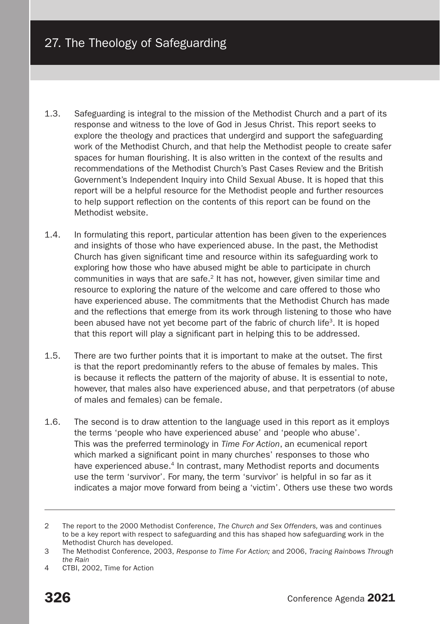- 1.3. Safeguarding is integral to the mission of the Methodist Church and a part of its response and witness to the love of God in Jesus Christ. This report seeks to explore the theology and practices that undergird and support the safeguarding work of the Methodist Church, and that help the Methodist people to create safer spaces for human flourishing. It is also written in the context of the results and recommendations of the Methodist Church's Past Cases Review and the British Government's Independent Inquiry into Child Sexual Abuse. It is hoped that this report will be a helpful resource for the Methodist people and further resources to help support reflection on the contents of this report can be found on the Methodist website.
- 1.4. In formulating this report, particular attention has been given to the experiences and insights of those who have experienced abuse. In the past, the Methodist Church has given significant time and resource within its safeguarding work to exploring how those who have abused might be able to participate in church communities in ways that are safe.2 It has not, however, given similar time and resource to exploring the nature of the welcome and care offered to those who have experienced abuse. The commitments that the Methodist Church has made and the reflections that emerge from its work through listening to those who have been abused have not yet become part of the fabric of church life<sup>3</sup>. It is hoped that this report will play a significant part in helping this to be addressed.
- 1.5. There are two further points that it is important to make at the outset. The first is that the report predominantly refers to the abuse of females by males. This is because it reflects the pattern of the majority of abuse. It is essential to note, however, that males also have experienced abuse, and that perpetrators (of abuse of males and females) can be female.
- 1.6. The second is to draw attention to the language used in this report as it employs the terms 'people who have experienced abuse' and 'people who abuse'. This was the preferred terminology in *Time For Action*, an ecumenical report which marked a significant point in many churches' responses to those who have experienced abuse.<sup>4</sup> In contrast, many Methodist reports and documents use the term 'survivor'. For many, the term 'survivor' is helpful in so far as it indicates a major move forward from being a 'victim'. Others use these two words

4 CTBI, 2002, Time for Action

<sup>2</sup> The report to the 2000 Methodist Conference, *The Church and Sex Offenders,* was and continues to be a key report with respect to safeguarding and this has shaped how safeguarding work in the Methodist Church has developed.

<sup>3</sup> The Methodist Conference, 2003, *Response to Time For Action;* and 2006, *Tracing Rainbows Through the Rain*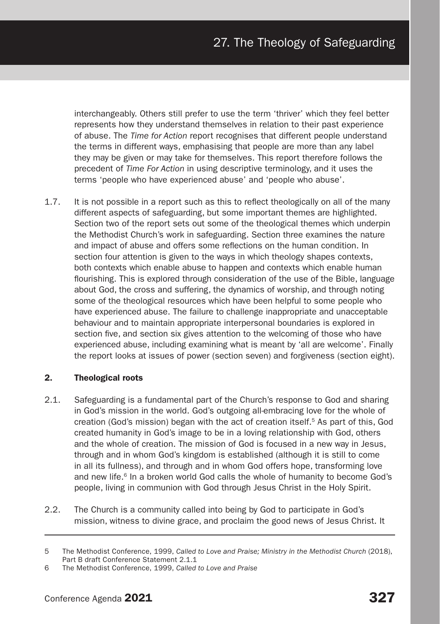interchangeably. Others still prefer to use the term 'thriver' which they feel better represents how they understand themselves in relation to their past experience of abuse. The *Time for Action* report recognises that different people understand the terms in different ways, emphasising that people are more than any label they may be given or may take for themselves. This report therefore follows the precedent of *Time For Action* in using descriptive terminology, and it uses the terms 'people who have experienced abuse' and 'people who abuse'.

1.7. It is not possible in a report such as this to reflect theologically on all of the many different aspects of safeguarding, but some important themes are highlighted. Section two of the report sets out some of the theological themes which underpin the Methodist Church's work in safeguarding. Section three examines the nature and impact of abuse and offers some reflections on the human condition. In section four attention is given to the ways in which theology shapes contexts, both contexts which enable abuse to happen and contexts which enable human flourishing. This is explored through consideration of the use of the Bible, language about God, the cross and suffering, the dynamics of worship, and through noting some of the theological resources which have been helpful to some people who have experienced abuse. The failure to challenge inappropriate and unacceptable behaviour and to maintain appropriate interpersonal boundaries is explored in section five, and section six gives attention to the welcoming of those who have experienced abuse, including examining what is meant by 'all are welcome'. Finally the report looks at issues of power (section seven) and forgiveness (section eight).

# 2. Theological roots

- 2.1. Safeguarding is a fundamental part of the Church's response to God and sharing in God's mission in the world. God's outgoing all-embracing love for the whole of creation (God's mission) began with the act of creation itself.5 As part of this, God created humanity in God's image to be in a loving relationship with God, others and the whole of creation. The mission of God is focused in a new way in Jesus, through and in whom God's kingdom is established (although it is still to come in all its fullness), and through and in whom God offers hope, transforming love and new life.<sup>6</sup> In a broken world God calls the whole of humanity to become God's people, living in communion with God through Jesus Christ in the Holy Spirit.
- 2.2. The Church is a community called into being by God to participate in God's mission, witness to divine grace, and proclaim the good news of Jesus Christ. It

<sup>5</sup> The Methodist Conference, 1999, *Called to Love and Praise; Ministry in the Methodist Church* (2018), Part B draft Conference Statement 2.1.1

<sup>6</sup> The Methodist Conference, 1999, *Called to Love and Praise*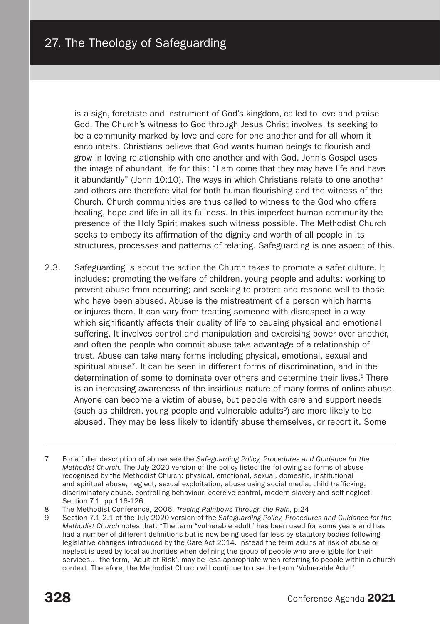is a sign, foretaste and instrument of God's kingdom, called to love and praise God. The Church's witness to God through Jesus Christ involves its seeking to be a community marked by love and care for one another and for all whom it encounters. Christians believe that God wants human beings to flourish and grow in loving relationship with one another and with God. John's Gospel uses the image of abundant life for this: "I am come that they may have life and have it abundantly" (John 10:10). The ways in which Christians relate to one another and others are therefore vital for both human flourishing and the witness of the Church. Church communities are thus called to witness to the God who offers healing, hope and life in all its fullness. In this imperfect human community the presence of the Holy Spirit makes such witness possible. The Methodist Church seeks to embody its affirmation of the dignity and worth of all people in its structures, processes and patterns of relating. Safeguarding is one aspect of this.

- 2.3. Safeguarding is about the action the Church takes to promote a safer culture. It includes: promoting the welfare of children, young people and adults; working to prevent abuse from occurring; and seeking to protect and respond well to those who have been abused. Abuse is the mistreatment of a person which harms or injures them. It can vary from treating someone with disrespect in a way which significantly affects their quality of life to causing physical and emotional suffering. It involves control and manipulation and exercising power over another, and often the people who commit abuse take advantage of a relationship of trust. Abuse can take many forms including physical, emotional, sexual and spiritual abuse<sup>7</sup>. It can be seen in different forms of discrimination, and in the determination of some to dominate over others and determine their lives.<sup>8</sup> There is an increasing awareness of the insidious nature of many forms of online abuse. Anyone can become a victim of abuse, but people with care and support needs (such as children, young people and vulnerable adults<sup>9</sup>) are more likely to be abused. They may be less likely to identify abuse themselves, or report it. Some
- 7 For a fuller description of abuse see the *Safeguarding Policy, Procedures and Guidance for the Methodist Church.* The July 2020 version of the policy listed the following as forms of abuse recognised by the Methodist Church: physical, emotional, sexual, domestic, institutional and spiritual abuse, neglect, sexual exploitation, abuse using social media, child trafficking, discriminatory abuse, controlling behaviour, coercive control, modern slavery and self-neglect. Section 7.1, pp.116-126.

9 Section 7.1.2.1 of the July 2020 version of the *Safeguarding Policy, Procedures and Guidance for the Methodist Church* notes that: "The term "vulnerable adult" has been used for some years and has had a number of different definitions but is now being used far less by statutory bodies following legislative changes introduced by the Care Act 2014. Instead the term adults at risk of abuse or neglect is used by local authorities when defining the group of people who are eligible for their services… the term, 'Adult at Risk', may be less appropriate when referring to people within a church context. Therefore, the Methodist Church will continue to use the term 'Vulnerable Adult'.

<sup>8</sup> The Methodist Conference, 2006, *Tracing Rainbows Through the Rain,* p.24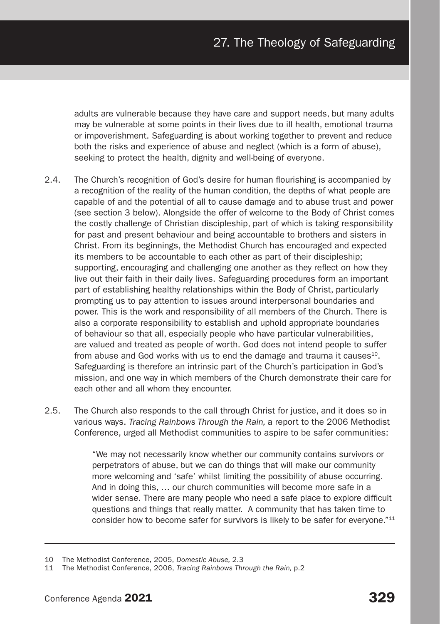adults are vulnerable because they have care and support needs, but many adults may be vulnerable at some points in their lives due to ill health, emotional trauma or impoverishment. Safeguarding is about working together to prevent and reduce both the risks and experience of abuse and neglect (which is a form of abuse), seeking to protect the health, dignity and well-being of everyone.

- 2.4. The Church's recognition of God's desire for human flourishing is accompanied by a recognition of the reality of the human condition, the depths of what people are capable of and the potential of all to cause damage and to abuse trust and power (see section 3 below). Alongside the offer of welcome to the Body of Christ comes the costly challenge of Christian discipleship, part of which is taking responsibility for past and present behaviour and being accountable to brothers and sisters in Christ. From its beginnings, the Methodist Church has encouraged and expected its members to be accountable to each other as part of their discipleship; supporting, encouraging and challenging one another as they reflect on how they live out their faith in their daily lives. Safeguarding procedures form an important part of establishing healthy relationships within the Body of Christ, particularly prompting us to pay attention to issues around interpersonal boundaries and power. This is the work and responsibility of all members of the Church. There is also a corporate responsibility to establish and uphold appropriate boundaries of behaviour so that all, especially people who have particular vulnerabilities, are valued and treated as people of worth. God does not intend people to suffer from abuse and God works with us to end the damage and trauma it causes<sup>10</sup>. Safeguarding is therefore an intrinsic part of the Church's participation in God's mission, and one way in which members of the Church demonstrate their care for each other and all whom they encounter.
- 2.5. The Church also responds to the call through Christ for justice, and it does so in various ways. *Tracing Rainbows Through the Rain,* a report to the 2006 Methodist Conference, urged all Methodist communities to aspire to be safer communities:

"We may not necessarily know whether our community contains survivors or perpetrators of abuse, but we can do things that will make our community more welcoming and 'safe' whilst limiting the possibility of abuse occurring. And in doing this, … our church communities will become more safe in a wider sense. There are many people who need a safe place to explore difficult questions and things that really matter. A community that has taken time to consider how to become safer for survivors is likely to be safer for everyone."<sup>11</sup>

<sup>10</sup> The Methodist Conference, 2005, *Domestic Abuse,* 2.3

<sup>11</sup> The Methodist Conference, 2006, *Tracing Rainbows Through the Rain,* p.2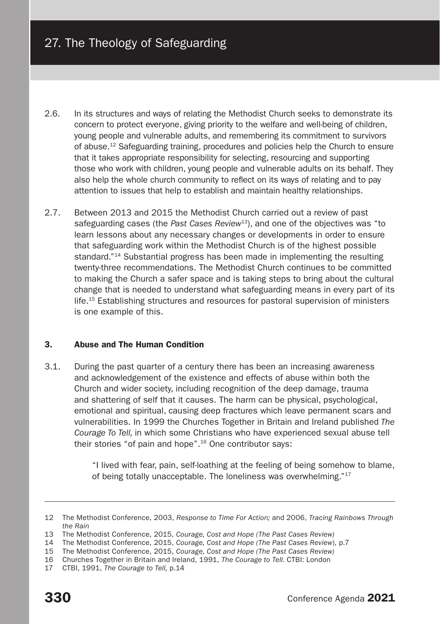- 2.6. In its structures and ways of relating the Methodist Church seeks to demonstrate its concern to protect everyone, giving priority to the welfare and well-being of children, young people and vulnerable adults, and remembering its commitment to survivors of abuse.12 Safeguarding training, procedures and policies help the Church to ensure that it takes appropriate responsibility for selecting, resourcing and supporting those who work with children, young people and vulnerable adults on its behalf. They also help the whole church community to reflect on its ways of relating and to pay attention to issues that help to establish and maintain healthy relationships.
- 2.7. Between 2013 and 2015 the Methodist Church carried out a review of past safeguarding cases (the *Past Cases Review13*), and one of the objectives was "to learn lessons about any necessary changes or developments in order to ensure that safeguarding work within the Methodist Church is of the highest possible standard."<sup>14</sup> Substantial progress has been made in implementing the resulting twenty-three recommendations. The Methodist Church continues to be committed to making the Church a safer space and is taking steps to bring about the cultural change that is needed to understand what safeguarding means in every part of its life.15 Establishing structures and resources for pastoral supervision of ministers is one example of this.

# 3. Abuse and The Human Condition

3.1. During the past quarter of a century there has been an increasing awareness and acknowledgement of the existence and effects of abuse within both the Church and wider society, including recognition of the deep damage, trauma and shattering of self that it causes. The harm can be physical, psychological, emotional and spiritual, causing deep fractures which leave permanent scars and vulnerabilities. In 1999 the Churches Together in Britain and Ireland published *The Courage To Tell,* in which some Christians who have experienced sexual abuse tell their stories "of pain and hope".16 One contributor says:

> "I lived with fear, pain, self-loathing at the feeling of being somehow to blame, of being totally unacceptable. The loneliness was overwhelming."17

<sup>12</sup> The Methodist Conference, 2003, *Response to Time For Action;* and 2006, *Tracing Rainbows Through the Rain*

<sup>13</sup> The Methodist Conference, 2015, *Courage, Cost and Hope (The Past Cases Review)*

<sup>14</sup> The Methodist Conference, 2015, *Courage, Cost and Hope (The Past Cases Review*), p.7

<sup>15</sup> The Methodist Conference, 2015, *Courage, Cost and Hope (The Past Cases Review)*

<sup>16</sup> Churches Together in Britain and Ireland, 1991, *The Courage to Tell.* CTBI: London

<sup>17</sup> CTBI, 1991, *The Courage to Tell,* p.14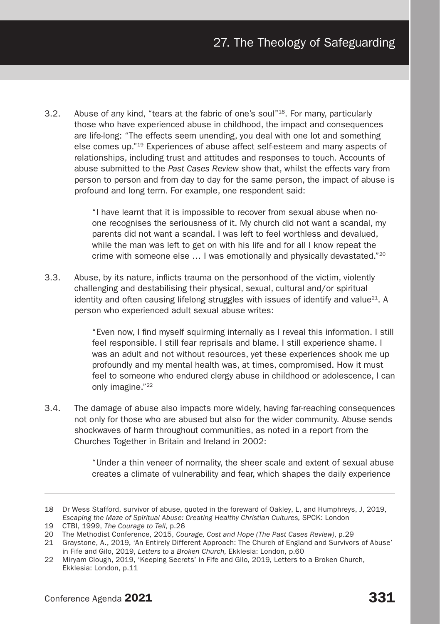3.2. Abuse of any kind, "tears at the fabric of one's soul"18. For many, particularly those who have experienced abuse in childhood, the impact and consequences are life-long: "The effects seem unending, you deal with one lot and something else comes up."19 Experiences of abuse affect self-esteem and many aspects of relationships, including trust and attitudes and responses to touch. Accounts of abuse submitted to the *Past Cases Review* show that, whilst the effects vary from person to person and from day to day for the same person, the impact of abuse is profound and long term. For example, one respondent said:

> "I have learnt that it is impossible to recover from sexual abuse when noone recognises the seriousness of it. My church did not want a scandal, my parents did not want a scandal. I was left to feel worthless and devalued, while the man was left to get on with his life and for all I know repeat the crime with someone else … I was emotionally and physically devastated."20

3.3. Abuse, by its nature, inflicts trauma on the personhood of the victim, violently challenging and destabilising their physical, sexual, cultural and/or spiritual identity and often causing lifelong struggles with issues of identify and value $^{21}$ . A person who experienced adult sexual abuse writes:

> "Even now, I find myself squirming internally as I reveal this information. I still feel responsible. I still fear reprisals and blame. I still experience shame. I was an adult and not without resources, yet these experiences shook me up profoundly and my mental health was, at times, compromised. How it must feel to someone who endured clergy abuse in childhood or adolescence, I can only imagine."22

3.4. The damage of abuse also impacts more widely, having far-reaching consequences not only for those who are abused but also for the wider community. Abuse sends shockwaves of harm throughout communities, as noted in a report from the Churches Together in Britain and Ireland in 2002:

> "Under a thin veneer of normality, the sheer scale and extent of sexual abuse creates a climate of vulnerability and fear, which shapes the daily experience

<sup>18</sup> Dr Wess Stafford, survivor of abuse, quoted in the foreward of Oakley, L, and Humphreys, J, 2019, *Escaping the Maze of Spiritual Abuse: Creating Healthy Christian Cultures,* SPCK: London

<sup>19</sup> CTBI, 1999, *The Courage to Tell*, p.26

<sup>20</sup> The Methodist Conference, 2015, *Courage, Cost and Hope (The Past Cases Review)*, p.29

<sup>21</sup> Graystone, A., 2019, 'An Entirely Different Approach: The Church of England and Survivors of Abuse' in Fife and Gilo, 2019, *Letters to a Broken Church,* Ekklesia: London, p.60

<sup>22</sup> Miryam Clough, 2019, 'Keeping Secrets' in Fife and Gilo, 2019, Letters to a Broken Church, Ekklesia: London, p.11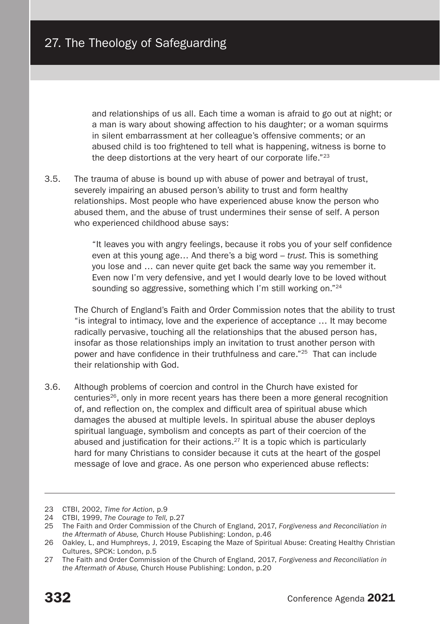and relationships of us all. Each time a woman is afraid to go out at night; or a man is wary about showing affection to his daughter; or a woman squirms in silent embarrassment at her colleague's offensive comments; or an abused child is too frightened to tell what is happening, witness is borne to the deep distortions at the very heart of our corporate life."23

3.5. The trauma of abuse is bound up with abuse of power and betrayal of trust, severely impairing an abused person's ability to trust and form healthy relationships. Most people who have experienced abuse know the person who abused them, and the abuse of trust undermines their sense of self. A person who experienced childhood abuse says:

> "It leaves you with angry feelings, because it robs you of your self confidence even at this young age… And there's a big word – *trust.* This is something you lose and … can never quite get back the same way you remember it. Even now I'm very defensive, and yet I would dearly love to be loved without sounding so aggressive, something which I'm still working on."<sup>24</sup>

The Church of England's Faith and Order Commission notes that the ability to trust "is integral to intimacy, love and the experience of acceptance … It may become radically pervasive, touching all the relationships that the abused person has, insofar as those relationships imply an invitation to trust another person with power and have confidence in their truthfulness and care."25 That can include their relationship with God.

3.6. Although problems of coercion and control in the Church have existed for centuries<sup>26</sup>, only in more recent years has there been a more general recognition of, and reflection on, the complex and difficult area of spiritual abuse which damages the abused at multiple levels. In spiritual abuse the abuser deploys spiritual language, symbolism and concepts as part of their coercion of the abused and justification for their actions.<sup>27</sup> It is a topic which is particularly hard for many Christians to consider because it cuts at the heart of the gospel message of love and grace. As one person who experienced abuse reflects:

<sup>23</sup> CTBI, 2002, *Time for Action*, p.9

<sup>24</sup> CTBI, 1999, *The Courage to Tell,* p.27

<sup>25</sup> The Faith and Order Commission of the Church of England, 2017, *Forgiveness and Reconciliation in the Aftermath of Abuse,* Church House Publishing: London, p.46

<sup>26</sup> Oakley, L, and Humphreys, J, 2019, Escaping the Maze of Spiritual Abuse: Creating Healthy Christian Cultures, SPCK: London, p.5

<sup>27</sup> The Faith and Order Commission of the Church of England, 2017, *Forgiveness and Reconciliation in the Aftermath of Abuse,* Church House Publishing: London, p.20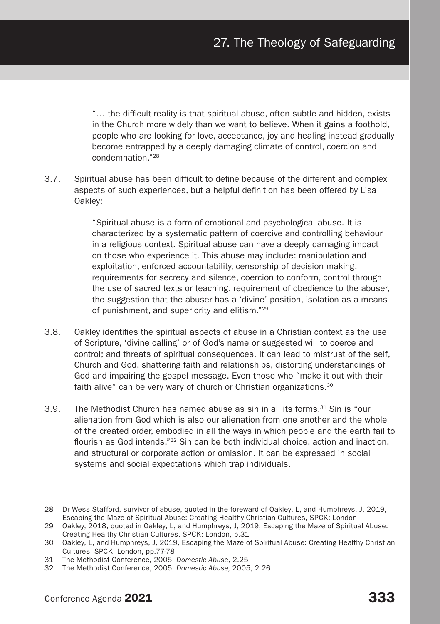"… the difficult reality is that spiritual abuse, often subtle and hidden, exists in the Church more widely than we want to believe. When it gains a foothold, people who are looking for love, acceptance, joy and healing instead gradually become entrapped by a deeply damaging climate of control, coercion and condemnation."28

3.7. Spiritual abuse has been difficult to define because of the different and complex aspects of such experiences, but a helpful definition has been offered by Lisa Oakley:

> "Spiritual abuse is a form of emotional and psychological abuse. It is characterized by a systematic pattern of coercive and controlling behaviour in a religious context. Spiritual abuse can have a deeply damaging impact on those who experience it. This abuse may include: manipulation and exploitation, enforced accountability, censorship of decision making, requirements for secrecy and silence, coercion to conform, control through the use of sacred texts or teaching, requirement of obedience to the abuser, the suggestion that the abuser has a 'divine' position, isolation as a means of punishment, and superiority and elitism."29

- 3.8. Oakley identifies the spiritual aspects of abuse in a Christian context as the use of Scripture, 'divine calling' or of God's name or suggested will to coerce and control; and threats of spiritual consequences. It can lead to mistrust of the self, Church and God, shattering faith and relationships, distorting understandings of God and impairing the gospel message. Even those who "make it out with their faith alive" can be very wary of church or Christian organizations.<sup>30</sup>
- 3.9. The Methodist Church has named abuse as sin in all its forms.<sup>31</sup> Sin is "our alienation from God which is also our alienation from one another and the whole of the created order, embodied in all the ways in which people and the earth fail to flourish as God intends."32 Sin can be both individual choice, action and inaction, and structural or corporate action or omission. It can be expressed in social systems and social expectations which trap individuals.

<sup>28</sup> Dr Wess Stafford, survivor of abuse, quoted in the foreward of Oakley, L, and Humphreys, J, 2019, Escaping the Maze of Spiritual Abuse: Creating Healthy Christian Cultures, SPCK: London

<sup>29</sup> Oakley, 2018, quoted in Oakley, L, and Humphreys, J, 2019, Escaping the Maze of Spiritual Abuse: Creating Healthy Christian Cultures, SPCK: London, p.31

<sup>30</sup> Oakley, L, and Humphreys, J, 2019, Escaping the Maze of Spiritual Abuse: Creating Healthy Christian Cultures, SPCK: London, pp.77-78

<sup>31</sup> The Methodist Conference, 2005, *Domestic Abuse*, 2.25

<sup>32</sup> The Methodist Conference, 2005, *Domestic Abuse,* 2005, 2.26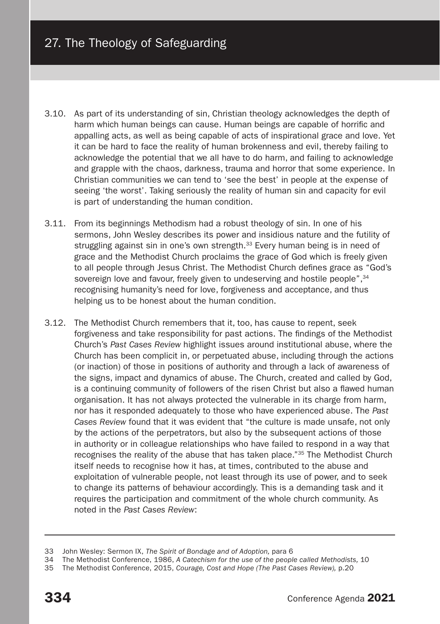- 3.10. As part of its understanding of sin, Christian theology acknowledges the depth of harm which human beings can cause. Human beings are capable of horrific and appalling acts, as well as being capable of acts of inspirational grace and love. Yet it can be hard to face the reality of human brokenness and evil, thereby failing to acknowledge the potential that we all have to do harm, and failing to acknowledge and grapple with the chaos, darkness, trauma and horror that some experience. In Christian communities we can tend to 'see the best' in people at the expense of seeing 'the worst'. Taking seriously the reality of human sin and capacity for evil is part of understanding the human condition.
- 3.11. From its beginnings Methodism had a robust theology of sin. In one of his sermons, John Wesley describes its power and insidious nature and the futility of struggling against sin in one's own strength.<sup>33</sup> Every human being is in need of grace and the Methodist Church proclaims the grace of God which is freely given to all people through Jesus Christ. The Methodist Church defines grace as "God's sovereign love and favour, freely given to undeserving and hostile people".<sup>34</sup> recognising humanity's need for love, forgiveness and acceptance, and thus helping us to be honest about the human condition.
- 3.12. The Methodist Church remembers that it, too, has cause to repent, seek forgiveness and take responsibility for past actions. The findings of the Methodist Church's *Past Cases Review* highlight issues around institutional abuse, where the Church has been complicit in, or perpetuated abuse, including through the actions (or inaction) of those in positions of authority and through a lack of awareness of the signs, impact and dynamics of abuse. The Church, created and called by God, is a continuing community of followers of the risen Christ but also a flawed human organisation. It has not always protected the vulnerable in its charge from harm, nor has it responded adequately to those who have experienced abuse. The *Past Cases Review* found that it was evident that "the culture is made unsafe, not only by the actions of the perpetrators, but also by the subsequent actions of those in authority or in colleague relationships who have failed to respond in a way that recognises the reality of the abuse that has taken place."35 The Methodist Church itself needs to recognise how it has, at times, contributed to the abuse and exploitation of vulnerable people, not least through its use of power, and to seek to change its patterns of behaviour accordingly. This is a demanding task and it requires the participation and commitment of the whole church community. As noted in the *Past Cases Review*:

<sup>33</sup> John Wesley: Sermon IX, *The Spirit of Bondage and of Adoption,* para 6

<sup>34</sup> The Methodist Conference, 1986, *A Catechism for the use of the people called Methodists,* 10

<sup>35</sup> The Methodist Conference, 2015, *Courage, Cost and Hope (The Past Cases Review),* p.20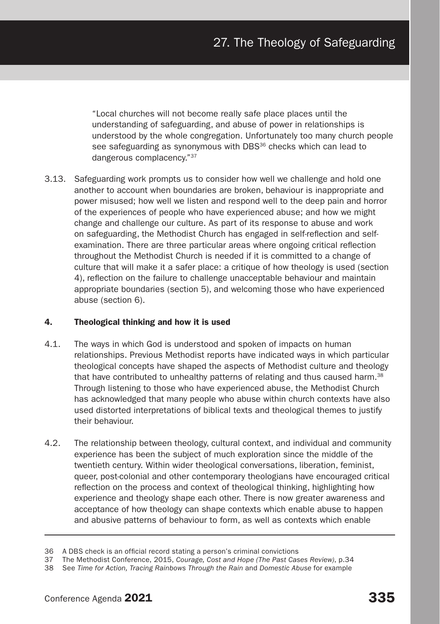"Local churches will not become really safe place places until the understanding of safeguarding, and abuse of power in relationships is understood by the whole congregation. Unfortunately too many church people see safeguarding as synonymous with DBS<sup>36</sup> checks which can lead to dangerous complacency."37

3.13. Safeguarding work prompts us to consider how well we challenge and hold one another to account when boundaries are broken, behaviour is inappropriate and power misused; how well we listen and respond well to the deep pain and horror of the experiences of people who have experienced abuse; and how we might change and challenge our culture. As part of its response to abuse and work on safeguarding, the Methodist Church has engaged in self-reflection and selfexamination. There are three particular areas where ongoing critical reflection throughout the Methodist Church is needed if it is committed to a change of culture that will make it a safer place: a critique of how theology is used (section 4), reflection on the failure to challenge unacceptable behaviour and maintain appropriate boundaries (section 5), and welcoming those who have experienced abuse (section 6).

# 4. Theological thinking and how it is used

- 4.1. The ways in which God is understood and spoken of impacts on human relationships. Previous Methodist reports have indicated ways in which particular theological concepts have shaped the aspects of Methodist culture and theology that have contributed to unhealthy patterns of relating and thus caused harm.<sup>38</sup> Through listening to those who have experienced abuse, the Methodist Church has acknowledged that many people who abuse within church contexts have also used distorted interpretations of biblical texts and theological themes to justify their behaviour.
- 4.2. The relationship between theology, cultural context, and individual and community experience has been the subject of much exploration since the middle of the twentieth century. Within wider theological conversations, liberation, feminist, queer, post-colonial and other contemporary theologians have encouraged critical reflection on the process and context of theological thinking, highlighting how experience and theology shape each other. There is now greater awareness and acceptance of how theology can shape contexts which enable abuse to happen and abusive patterns of behaviour to form, as well as contexts which enable

<sup>36</sup> A DBS check is an official record stating a person's criminal convictions

<sup>37</sup> The Methodist Conference, 2015, *Courage, Cost and Hope (The Past Cases Review)*, p.34

<sup>38</sup> See *Time for Action, Tracing Rainbows Through the Rain* and *Domestic Abuse* for example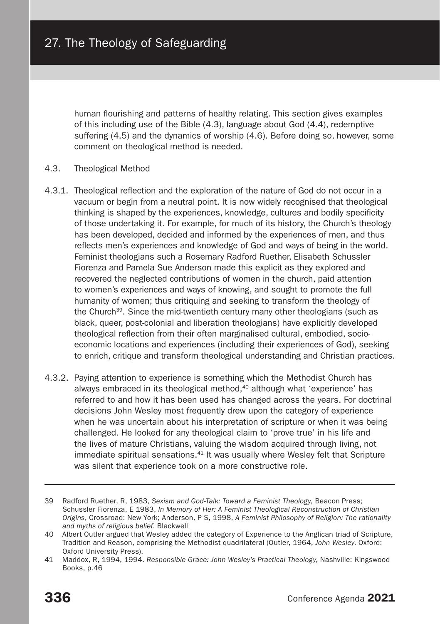human flourishing and patterns of healthy relating. This section gives examples of this including use of the Bible (4.3), language about God (4.4), redemptive suffering (4.5) and the dynamics of worship (4.6). Before doing so, however, some comment on theological method is needed.

#### 4.3. Theological Method

- 4.3.1. Theological reflection and the exploration of the nature of God do not occur in a vacuum or begin from a neutral point. It is now widely recognised that theological thinking is shaped by the experiences, knowledge, cultures and bodily specificity of those undertaking it. For example, for much of its history, the Church's theology has been developed, decided and informed by the experiences of men, and thus reflects men's experiences and knowledge of God and ways of being in the world. Feminist theologians such a Rosemary Radford Ruether, Elisabeth Schussler Fiorenza and Pamela Sue Anderson made this explicit as they explored and recovered the neglected contributions of women in the church, paid attention to women's experiences and ways of knowing, and sought to promote the full humanity of women; thus critiquing and seeking to transform the theology of the Church39. Since the mid-twentieth century many other theologians (such as black, queer, post-colonial and liberation theologians) have explicitly developed theological reflection from their often marginalised cultural, embodied, socioeconomic locations and experiences (including their experiences of God), seeking to enrich, critique and transform theological understanding and Christian practices.
- 4.3.2. Paying attention to experience is something which the Methodist Church has always embraced in its theological method,<sup>40</sup> although what 'experience' has referred to and how it has been used has changed across the years. For doctrinal decisions John Wesley most frequently drew upon the category of experience when he was uncertain about his interpretation of scripture or when it was being challenged. He looked for any theological claim to 'prove true' in his life and the lives of mature Christians, valuing the wisdom acquired through living, not immediate spiritual sensations.41 It was usually where Wesley felt that Scripture was silent that experience took on a more constructive role.

<sup>39</sup> Radford Ruether, R, 1983, *Sexism and God-Talk: Toward a Feminist Theology*, Beacon Press; Schussler Fiorenza, E 1983, *In Memory of Her: A Feminist Theological Reconstruction of Christian Origins*, Crossroad: New York; Anderson, P S, 1998, *A Feminist Philosophy of Religion: The rationality and myths of religious belief*. Blackwell

<sup>40</sup> Albert Outler argued that Wesley added the category of Experience to the Anglican triad of Scripture, Tradition and Reason, comprising the Methodist quadrilateral (Outler, 1964, *John Wesley*. Oxford: Oxford University Press).

<sup>41</sup> Maddox, R, 1994, 1994. *Responsible Grace: John Wesley's Practical Theology*, Nashville: Kingswood Books, p.46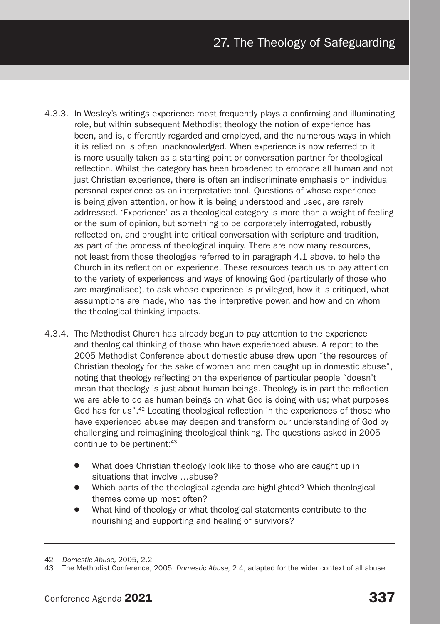- 4.3.3. In Wesley's writings experience most frequently plays a confirming and illuminating role, but within subsequent Methodist theology the notion of experience has been, and is, differently regarded and employed, and the numerous ways in which it is relied on is often unacknowledged. When experience is now referred to it is more usually taken as a starting point or conversation partner for theological reflection. Whilst the category has been broadened to embrace all human and not just Christian experience, there is often an indiscriminate emphasis on individual personal experience as an interpretative tool. Questions of whose experience is being given attention, or how it is being understood and used, are rarely addressed. 'Experience' as a theological category is more than a weight of feeling or the sum of opinion, but something to be corporately interrogated, robustly reflected on, and brought into critical conversation with scripture and tradition, as part of the process of theological inquiry. There are now many resources, not least from those theologies referred to in paragraph 4.1 above, to help the Church in its reflection on experience. These resources teach us to pay attention to the variety of experiences and ways of knowing God (particularly of those who are marginalised), to ask whose experience is privileged, how it is critiqued, what assumptions are made, who has the interpretive power, and how and on whom the theological thinking impacts.
- 4.3.4. The Methodist Church has already begun to pay attention to the experience and theological thinking of those who have experienced abuse. A report to the 2005 Methodist Conference about domestic abuse drew upon "the resources of Christian theology for the sake of women and men caught up in domestic abuse", noting that theology reflecting on the experience of particular people "doesn't mean that theology is just about human beings. Theology is in part the reflection we are able to do as human beings on what God is doing with us; what purposes God has for us".42 Locating theological reflection in the experiences of those who have experienced abuse may deepen and transform our understanding of God by challenging and reimagining theological thinking. The questions asked in 2005 continue to be pertinent:<sup>43</sup>
	- What does Christian theology look like to those who are caught up in situations that involve …abuse?
	- Which parts of the theological agenda are highlighted? Which theological themes come up most often?
	- What kind of theology or what theological statements contribute to the nourishing and supporting and healing of survivors?

<sup>42</sup> *Domestic Abuse,* 2005, 2.2

<sup>43</sup> The Methodist Conference, 2005, *Domestic Abuse,* 2.4, adapted for the wider context of all abuse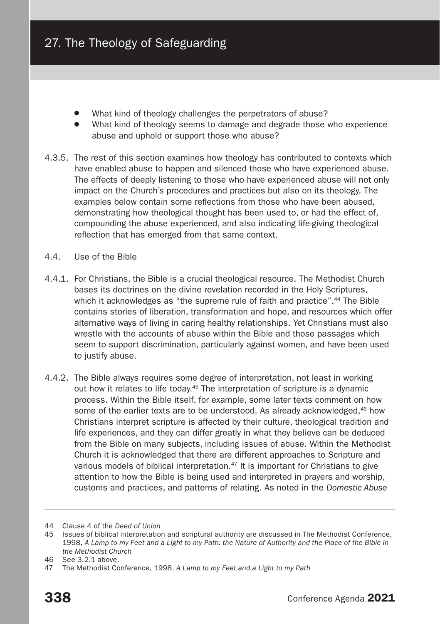- What kind of theology challenges the perpetrators of abuse?
- What kind of theology seems to damage and degrade those who experience abuse and uphold or support those who abuse?
- 4.3.5. The rest of this section examines how theology has contributed to contexts which have enabled abuse to happen and silenced those who have experienced abuse. The effects of deeply listening to those who have experienced abuse will not only impact on the Church's procedures and practices but also on its theology. The examples below contain some reflections from those who have been abused, demonstrating how theological thought has been used to, or had the effect of, compounding the abuse experienced, and also indicating life-giving theological reflection that has emerged from that same context.
- 4.4. Use of the Bible
- 4.4.1. For Christians, the Bible is a crucial theological resource. The Methodist Church bases its doctrines on the divine revelation recorded in the Holy Scriptures, which it acknowledges as "the supreme rule of faith and practice".<sup>44</sup> The Bible contains stories of liberation, transformation and hope, and resources which offer alternative ways of living in caring healthy relationships. Yet Christians must also wrestle with the accounts of abuse within the Bible and those passages which seem to support discrimination, particularly against women, and have been used to justify abuse.
- 4.4.2. The Bible always requires some degree of interpretation, not least in working out how it relates to life today.45 The interpretation of scripture is a dynamic process. Within the Bible itself, for example, some later texts comment on how some of the earlier texts are to be understood. As already acknowledged,<sup>46</sup> how Christians interpret scripture is affected by their culture, theological tradition and life experiences, and they can differ greatly in what they believe can be deduced from the Bible on many subjects, including issues of abuse. Within the Methodist Church it is acknowledged that there are different approaches to Scripture and various models of biblical interpretation.<sup>47</sup> It is important for Christians to give attention to how the Bible is being used and interpreted in prayers and worship, customs and practices, and patterns of relating. As noted in the *Domestic Abuse*

<sup>44</sup> Clause 4 of the *Deed of Union*

<sup>45</sup> Issues of biblical interpretation and scriptural authority are discussed in The Methodist Conference, 1998, *A Lamp to my Feet and a Light to my Path: the Nature of Authority and the Place of the Bible in the Methodist Church*

<sup>46</sup> See 3.2.1 above.

<sup>47</sup> The Methodist Conference, 1998, *A Lamp to my Feet and a Light to my Path*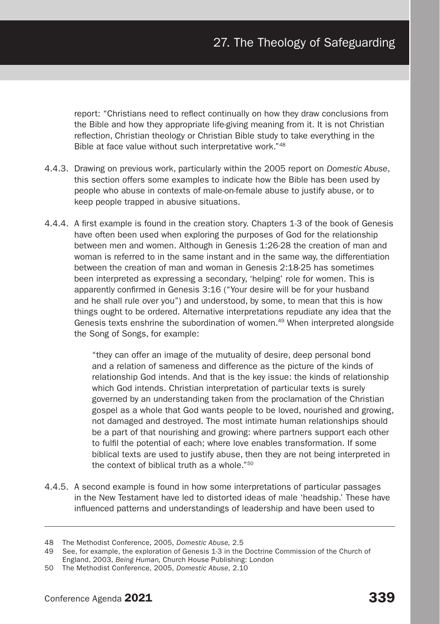report: "Christians need to reflect continually on how they draw conclusions from the Bible and how they appropriate life-giving meaning from it. It is not Christian reflection, Christian theology or Christian Bible study to take everything in the Bible at face value without such interpretative work."48

- 4.4.3. Drawing on previous work, particularly within the 2005 report on *Domestic Abuse*, this section offers some examples to indicate how the Bible has been used by people who abuse in contexts of male-on-female abuse to justify abuse, or to keep people trapped in abusive situations.
- 4.4.4. A first example is found in the creation story. Chapters 1-3 of the book of Genesis have often been used when exploring the purposes of God for the relationship between men and women. Although in Genesis 1:26-28 the creation of man and woman is referred to in the same instant and in the same way, the differentiation between the creation of man and woman in Genesis 2:18-25 has sometimes been interpreted as expressing a secondary, 'helping' role for women. This is apparently confirmed in Genesis 3:16 ("Your desire will be for your husband and he shall rule over you") and understood, by some, to mean that this is how things ought to be ordered. Alternative interpretations repudiate any idea that the Genesis texts enshrine the subordination of women. $49$  When interpreted alongside the Song of Songs, for example:

"they can offer an image of the mutuality of desire, deep personal bond and a relation of sameness and difference as the picture of the kinds of relationship God intends. And that is the key issue: the kinds of relationship which God intends. Christian interpretation of particular texts is surely governed by an understanding taken from the proclamation of the Christian gospel as a whole that God wants people to be loved, nourished and growing, not damaged and destroyed. The most intimate human relationships should be a part of that nourishing and growing: where partners support each other to fulfil the potential of each; where love enables transformation. If some biblical texts are used to justify abuse, then they are not being interpreted in the context of biblical truth as a whole."<sup>50</sup>

4.4.5. A second example is found in how some interpretations of particular passages in the New Testament have led to distorted ideas of male 'headship.' These have influenced patterns and understandings of leadership and have been used to

<sup>48</sup> The Methodist Conference, 2005, *Domestic Abuse,* 2.5

<sup>49</sup> See, for example, the exploration of Genesis 1-3 in the Doctrine Commission of the Church of England, 2003, *Being Human,* Church House Publishing: London

<sup>50</sup> The Methodist Conference, 2005, *Domestic Abuse*, 2.10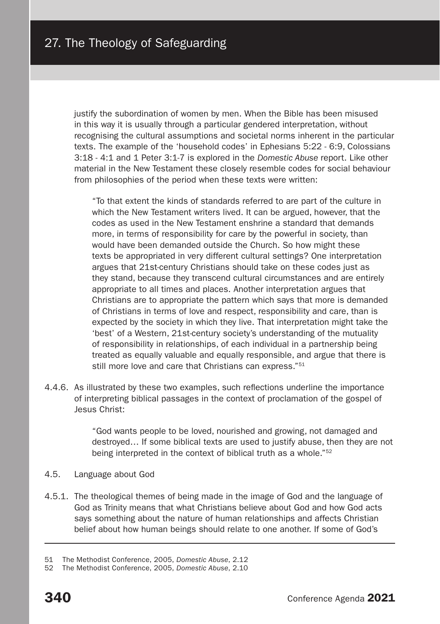justify the subordination of women by men. When the Bible has been misused in this way it is usually through a particular gendered interpretation, without recognising the cultural assumptions and societal norms inherent in the particular texts. The example of the 'household codes' in Ephesians 5:22 - 6:9, Colossians 3:18 - 4:1 and 1 Peter 3:1-7 is explored in the *Domestic Abuse* report. Like other material in the New Testament these closely resemble codes for social behaviour from philosophies of the period when these texts were written:

"To that extent the kinds of standards referred to are part of the culture in which the New Testament writers lived. It can be argued, however, that the codes as used in the New Testament enshrine a standard that demands more, in terms of responsibility for care by the powerful in society, than would have been demanded outside the Church. So how might these texts be appropriated in very different cultural settings? One interpretation argues that 21st-century Christians should take on these codes just as they stand, because they transcend cultural circumstances and are entirely appropriate to all times and places. Another interpretation argues that Christians are to appropriate the pattern which says that more is demanded of Christians in terms of love and respect, responsibility and care, than is expected by the society in which they live. That interpretation might take the 'best' of a Western, 21st-century society's understanding of the mutuality of responsibility in relationships, of each individual in a partnership being treated as equally valuable and equally responsible, and argue that there is still more love and care that Christians can express."<sup>51</sup>

4.4.6. As illustrated by these two examples, such reflections underline the importance of interpreting biblical passages in the context of proclamation of the gospel of Jesus Christ:

> "God wants people to be loved, nourished and growing, not damaged and destroyed… If some biblical texts are used to justify abuse, then they are not being interpreted in the context of biblical truth as a whole."52

- 4.5. Language about God
- 4.5.1. The theological themes of being made in the image of God and the language of God as Trinity means that what Christians believe about God and how God acts says something about the nature of human relationships and affects Christian belief about how human beings should relate to one another. If some of God's

<sup>51</sup> The Methodist Conference, 2005, *Domestic Abuse*, 2.12

<sup>52</sup> The Methodist Conference, 2005, *Domestic Abuse*, 2.10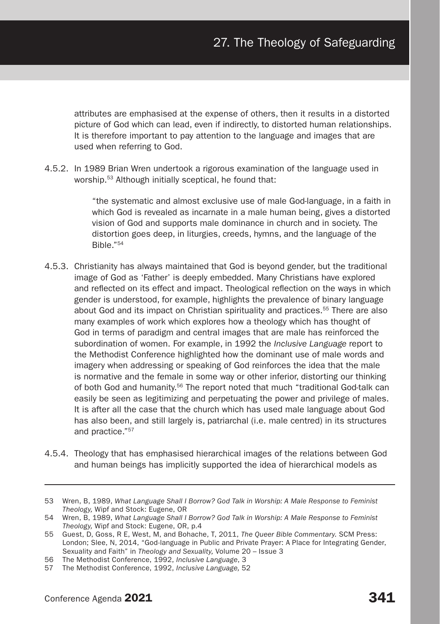attributes are emphasised at the expense of others, then it results in a distorted picture of God which can lead, even if indirectly, to distorted human relationships. It is therefore important to pay attention to the language and images that are used when referring to God.

4.5.2. In 1989 Brian Wren undertook a rigorous examination of the language used in worship.53 Although initially sceptical, he found that:

> "the systematic and almost exclusive use of male God-language, in a faith in which God is revealed as incarnate in a male human being, gives a distorted vision of God and supports male dominance in church and in society. The distortion goes deep, in liturgies, creeds, hymns, and the language of the Bible."54

- 4.5.3. Christianity has always maintained that God is beyond gender, but the traditional image of God as 'Father' is deeply embedded. Many Christians have explored and reflected on its effect and impact. Theological reflection on the ways in which gender is understood, for example, highlights the prevalence of binary language about God and its impact on Christian spirituality and practices.55 There are also many examples of work which explores how a theology which has thought of God in terms of paradigm and central images that are male has reinforced the subordination of women. For example, in 1992 the *Inclusive Language* report to the Methodist Conference highlighted how the dominant use of male words and imagery when addressing or speaking of God reinforces the idea that the male is normative and the female in some way or other inferior, distorting our thinking of both God and humanity.<sup>56</sup> The report noted that much "traditional God-talk can easily be seen as legitimizing and perpetuating the power and privilege of males. It is after all the case that the church which has used male language about God has also been, and still largely is, patriarchal (i.e. male centred) in its structures and practice."57
- 4.5.4. Theology that has emphasised hierarchical images of the relations between God and human beings has implicitly supported the idea of hierarchical models as

<sup>53</sup> Wren, B, 1989, *What Language Shall I Borrow? God Talk in Worship: A Male Response to Feminist Theology,* Wipf and Stock: Eugene, OR

<sup>54</sup> Wren, B, 1989, *What Language Shall I Borrow? God Talk in Worship: A Male Response to Feminist Theology,* Wipf and Stock: Eugene, OR, p.4

<sup>55</sup> Guest, D, Goss, R E, West, M, and Bohache, T, 2011, *The Queer Bible Commentary.* SCM Press: London; Slee, N, 2014, "God-language in Public and Private Prayer: A Place for Integrating Gender, Sexuality and Faith" in *Theology and Sexuality,* Volume 20 – Issue 3

<sup>56</sup> The Methodist Conference, 1992, *Inclusive Language*, 3

<sup>57</sup> The Methodist Conference, 1992, *Inclusive Language,* 52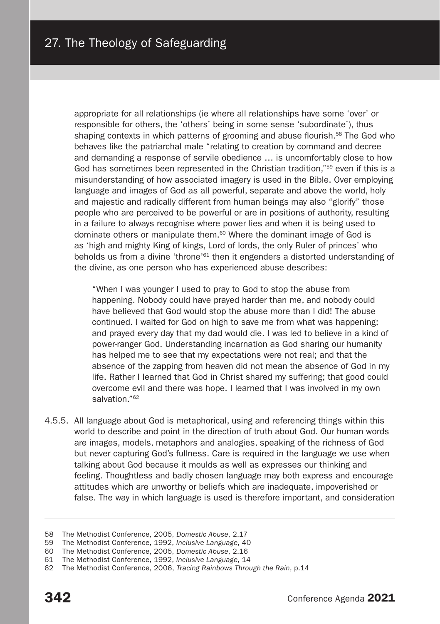appropriate for all relationships (ie where all relationships have some 'over' or responsible for others, the 'others' being in some sense 'subordinate'), thus shaping contexts in which patterns of grooming and abuse flourish.<sup>58</sup> The God who behaves like the patriarchal male "relating to creation by command and decree and demanding a response of servile obedience … is uncomfortably close to how God has sometimes been represented in the Christian tradition."<sup>59</sup> even if this is a misunderstanding of how associated imagery is used in the Bible. Over employing language and images of God as all powerful, separate and above the world, holy and majestic and radically different from human beings may also "glorify" those people who are perceived to be powerful or are in positions of authority, resulting in a failure to always recognise where power lies and when it is being used to dominate others or manipulate them.60 Where the dominant image of God is as 'high and mighty King of kings, Lord of lords, the only Ruler of princes' who beholds us from a divine 'throne'<sup>61</sup> then it engenders a distorted understanding of the divine, as one person who has experienced abuse describes:

"When I was younger I used to pray to God to stop the abuse from happening. Nobody could have prayed harder than me, and nobody could have believed that God would stop the abuse more than I did! The abuse continued. I waited for God on high to save me from what was happening; and prayed every day that my dad would die. I was led to believe in a kind of power-ranger God. Understanding incarnation as God sharing our humanity has helped me to see that my expectations were not real; and that the absence of the zapping from heaven did not mean the absence of God in my life. Rather I learned that God in Christ shared my suffering; that good could overcome evil and there was hope. I learned that I was involved in my own salvation."<sup>62</sup>

4.5.5. All language about God is metaphorical, using and referencing things within this world to describe and point in the direction of truth about God. Our human words are images, models, metaphors and analogies, speaking of the richness of God but never capturing God's fullness. Care is required in the language we use when talking about God because it moulds as well as expresses our thinking and feeling. Thoughtless and badly chosen language may both express and encourage attitudes which are unworthy or beliefs which are inadequate, impoverished or false. The way in which language is used is therefore important, and consideration

<sup>58</sup> The Methodist Conference, 2005, *Domestic Abuse*, 2.17

<sup>59</sup> The Methodist Conference, 1992, *Inclusive Language*, 40

<sup>60</sup> The Methodist Conference, 2005, *Domestic Abuse*, 2.16

<sup>61</sup> The Methodist Conference, 1992, *Inclusive Language*, 14

<sup>62</sup> The Methodist Conference, 2006, *Tracing Rainbows Through the Rain*, p.14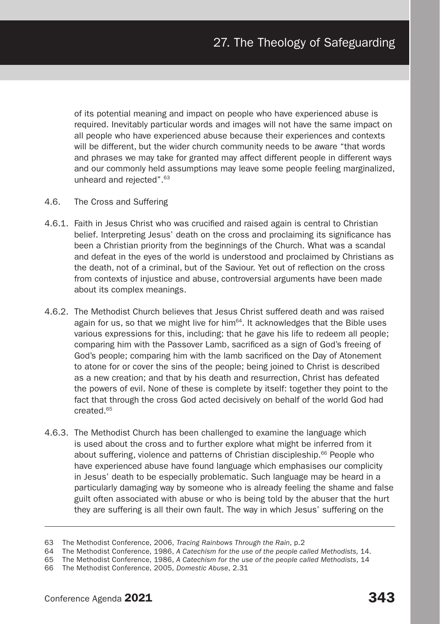of its potential meaning and impact on people who have experienced abuse is required. Inevitably particular words and images will not have the same impact on all people who have experienced abuse because their experiences and contexts will be different, but the wider church community needs to be aware "that words and phrases we may take for granted may affect different people in different ways and our commonly held assumptions may leave some people feeling marginalized, unheard and rejected".63

- 4.6. The Cross and Suffering
- 4.6.1. Faith in Jesus Christ who was crucified and raised again is central to Christian belief. Interpreting Jesus' death on the cross and proclaiming its significance has been a Christian priority from the beginnings of the Church. What was a scandal and defeat in the eyes of the world is understood and proclaimed by Christians as the death, not of a criminal, but of the Saviour. Yet out of reflection on the cross from contexts of injustice and abuse, controversial arguments have been made about its complex meanings.
- 4.6.2. The Methodist Church believes that Jesus Christ suffered death and was raised again for us, so that we might live for him<sup> $64$ </sup>. It acknowledges that the Bible uses various expressions for this, including: that he gave his life to redeem all people; comparing him with the Passover Lamb, sacrificed as a sign of God's freeing of God's people; comparing him with the lamb sacrificed on the Day of Atonement to atone for or cover the sins of the people; being joined to Christ is described as a new creation; and that by his death and resurrection, Christ has defeated the powers of evil. None of these is complete by itself: together they point to the fact that through the cross God acted decisively on behalf of the world God had created.65
- 4.6.3. The Methodist Church has been challenged to examine the language which is used about the cross and to further explore what might be inferred from it about suffering, violence and patterns of Christian discipleship.<sup>66</sup> People who have experienced abuse have found language which emphasises our complicity in Jesus' death to be especially problematic. Such language may be heard in a particularly damaging way by someone who is already feeling the shame and false guilt often associated with abuse or who is being told by the abuser that the hurt they are suffering is all their own fault. The way in which Jesus' suffering on the

<sup>63</sup> The Methodist Conference, 2006, *Tracing Rainbows Through the Rain*, p.2

<sup>64</sup> The Methodist Conference, 1986, *A Catechism for the use of the people called Methodists,* 14.

<sup>65</sup> The Methodist Conference, 1986, *A Catechism for the use of the people called Methodists*, 14

<sup>66</sup> The Methodist Conference, 2005, *Domestic Abuse*, 2.31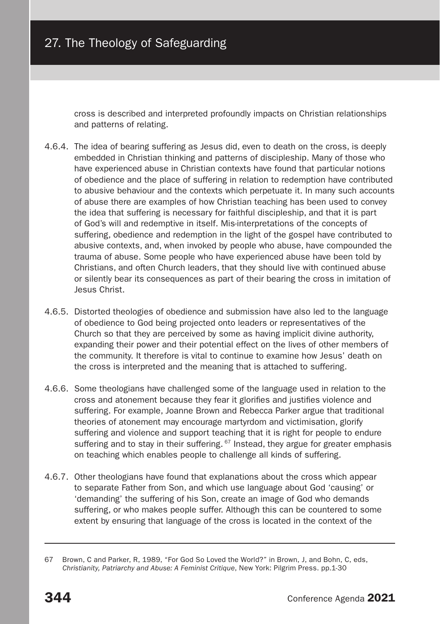cross is described and interpreted profoundly impacts on Christian relationships and patterns of relating.

- 4.6.4. The idea of bearing suffering as Jesus did, even to death on the cross, is deeply embedded in Christian thinking and patterns of discipleship. Many of those who have experienced abuse in Christian contexts have found that particular notions of obedience and the place of suffering in relation to redemption have contributed to abusive behaviour and the contexts which perpetuate it. In many such accounts of abuse there are examples of how Christian teaching has been used to convey the idea that suffering is necessary for faithful discipleship, and that it is part of God's will and redemptive in itself. Mis-interpretations of the concepts of suffering, obedience and redemption in the light of the gospel have contributed to abusive contexts, and, when invoked by people who abuse, have compounded the trauma of abuse. Some people who have experienced abuse have been told by Christians, and often Church leaders, that they should live with continued abuse or silently bear its consequences as part of their bearing the cross in imitation of Jesus Christ.
- 4.6.5. Distorted theologies of obedience and submission have also led to the language of obedience to God being projected onto leaders or representatives of the Church so that they are perceived by some as having implicit divine authority, expanding their power and their potential effect on the lives of other members of the community. It therefore is vital to continue to examine how Jesus' death on the cross is interpreted and the meaning that is attached to suffering.
- 4.6.6. Some theologians have challenged some of the language used in relation to the cross and atonement because they fear it glorifies and justifies violence and suffering. For example, Joanne Brown and Rebecca Parker argue that traditional theories of atonement may encourage martyrdom and victimisation, glorify suffering and violence and support teaching that it is right for people to endure suffering and to stay in their suffering. <sup>67</sup> Instead, they argue for greater emphasis on teaching which enables people to challenge all kinds of suffering.
- 4.6.7. Other theologians have found that explanations about the cross which appear to separate Father from Son, and which use language about God 'causing' or 'demanding' the suffering of his Son, create an image of God who demands suffering, or who makes people suffer. Although this can be countered to some extent by ensuring that language of the cross is located in the context of the

<sup>67</sup> Brown, C and Parker, R, 1989, "For God So Loved the World?" in Brown, J, and Bohn, C, eds, *Christianity, Patriarchy and Abuse: A Feminist Critique*, New York: Pilgrim Press. pp.1-30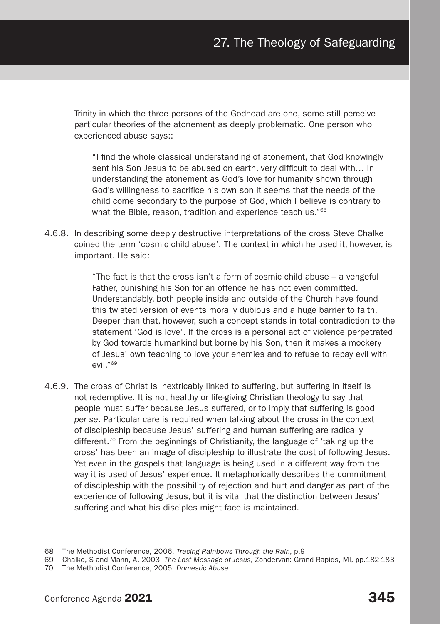Trinity in which the three persons of the Godhead are one, some still perceive particular theories of the atonement as deeply problematic. One person who experienced abuse says::

"I find the whole classical understanding of atonement, that God knowingly sent his Son Jesus to be abused on earth, very difficult to deal with… In understanding the atonement as God's love for humanity shown through God's willingness to sacrifice his own son it seems that the needs of the child come secondary to the purpose of God, which I believe is contrary to what the Bible, reason, tradition and experience teach us."<sup>68</sup>

4.6.8. In describing some deeply destructive interpretations of the cross Steve Chalke coined the term 'cosmic child abuse'. The context in which he used it, however, is important. He said:

> "The fact is that the cross isn't a form of cosmic child abuse – a vengeful Father, punishing his Son for an offence he has not even committed. Understandably, both people inside and outside of the Church have found this twisted version of events morally dubious and a huge barrier to faith. Deeper than that, however, such a concept stands in total contradiction to the statement 'God is love'. If the cross is a personal act of violence perpetrated by God towards humankind but borne by his Son, then it makes a mockery of Jesus' own teaching to love your enemies and to refuse to repay evil with evil."69

4.6.9. The cross of Christ is inextricably linked to suffering, but suffering in itself is not redemptive. It is not healthy or life-giving Christian theology to say that people must suffer because Jesus suffered, or to imply that suffering is good *per se*. Particular care is required when talking about the cross in the context of discipleship because Jesus' suffering and human suffering are radically different.<sup>70</sup> From the beginnings of Christianity, the language of 'taking up the cross' has been an image of discipleship to illustrate the cost of following Jesus. Yet even in the gospels that language is being used in a different way from the way it is used of Jesus' experience. It metaphorically describes the commitment of discipleship with the possibility of rejection and hurt and danger as part of the experience of following Jesus, but it is vital that the distinction between Jesus' suffering and what his disciples might face is maintained.

<sup>68</sup> The Methodist Conference, 2006, *Tracing Rainbows Through the Rain*, p.9

<sup>69</sup> Chalke, S and Mann, A, 2003, *The Lost Message of Jesus*, Zondervan: Grand Rapids, MI, pp.182-183

<sup>70</sup> The Methodist Conference, 2005, *Domestic Abuse*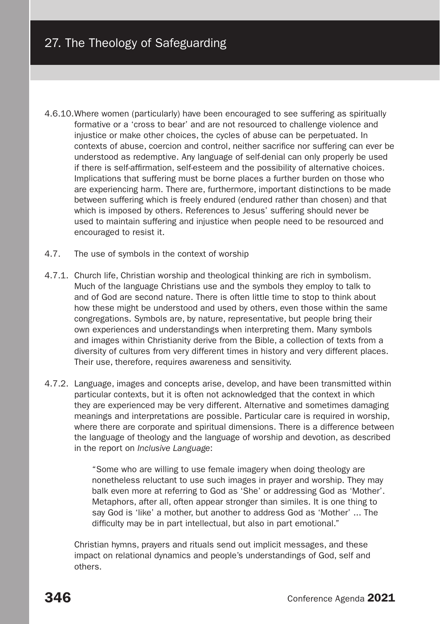- 4.6.10.Where women (particularly) have been encouraged to see suffering as spiritually formative or a 'cross to bear' and are not resourced to challenge violence and injustice or make other choices, the cycles of abuse can be perpetuated. In contexts of abuse, coercion and control, neither sacrifice nor suffering can ever be understood as redemptive. Any language of self-denial can only properly be used if there is self-affirmation, self-esteem and the possibility of alternative choices. Implications that suffering must be borne places a further burden on those who are experiencing harm. There are, furthermore, important distinctions to be made between suffering which is freely endured (endured rather than chosen) and that which is imposed by others. References to Jesus' suffering should never be used to maintain suffering and injustice when people need to be resourced and encouraged to resist it.
- 4.7. The use of symbols in the context of worship
- 4.7.1. Church life, Christian worship and theological thinking are rich in symbolism. Much of the language Christians use and the symbols they employ to talk to and of God are second nature. There is often little time to stop to think about how these might be understood and used by others, even those within the same congregations. Symbols are, by nature, representative, but people bring their own experiences and understandings when interpreting them. Many symbols and images within Christianity derive from the Bible, a collection of texts from a diversity of cultures from very different times in history and very different places. Their use, therefore, requires awareness and sensitivity.
- 4.7.2. Language, images and concepts arise, develop, and have been transmitted within particular contexts, but it is often not acknowledged that the context in which they are experienced may be very different. Alternative and sometimes damaging meanings and interpretations are possible. Particular care is required in worship, where there are corporate and spiritual dimensions. There is a difference between the language of theology and the language of worship and devotion, as described in the report on *Inclusive Language*:

"Some who are willing to use female imagery when doing theology are nonetheless reluctant to use such images in prayer and worship. They may balk even more at referring to God as 'She' or addressing God as 'Mother'. Metaphors, after all, often appear stronger than similes. It is one thing to say God is 'like' a mother, but another to address God as 'Mother' ... The difficulty may be in part intellectual, but also in part emotional."

Christian hymns, prayers and rituals send out implicit messages, and these impact on relational dynamics and people's understandings of God, self and others.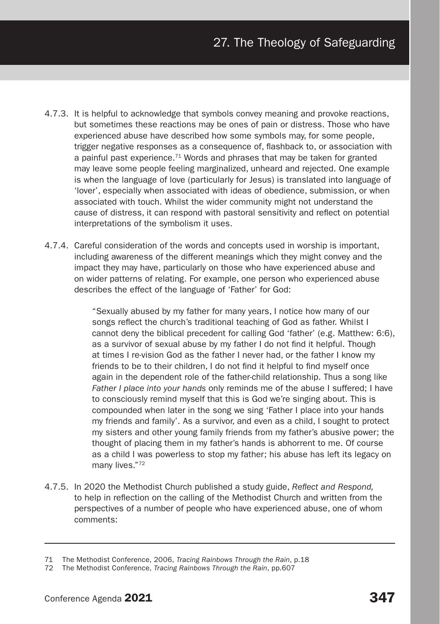- 4.7.3. It is helpful to acknowledge that symbols convey meaning and provoke reactions, but sometimes these reactions may be ones of pain or distress. Those who have experienced abuse have described how some symbols may, for some people, trigger negative responses as a consequence of, flashback to, or association with a painful past experience.<sup>71</sup> Words and phrases that may be taken for granted may leave some people feeling marginalized, unheard and rejected. One example is when the language of love (particularly for Jesus) is translated into language of 'lover', especially when associated with ideas of obedience, submission, or when associated with touch. Whilst the wider community might not understand the cause of distress, it can respond with pastoral sensitivity and reflect on potential interpretations of the symbolism it uses.
- 4.7.4. Careful consideration of the words and concepts used in worship is important, including awareness of the different meanings which they might convey and the impact they may have, particularly on those who have experienced abuse and on wider patterns of relating. For example, one person who experienced abuse describes the effect of the language of 'Father' for God:

"Sexually abused by my father for many years, I notice how many of our songs reflect the church's traditional teaching of God as father. Whilst I cannot deny the biblical precedent for calling God 'father' (e.g. Matthew: 6:6), as a survivor of sexual abuse by my father I do not find it helpful. Though at times I re-vision God as the father I never had, or the father I know my friends to be to their children, I do not find it helpful to find myself once again in the dependent role of the father-child relationship. Thus a song like *Father I place into your hands* only reminds me of the abuse I suffered; I have to consciously remind myself that this is God we're singing about. This is compounded when later in the song we sing 'Father I place into your hands my friends and family'. As a survivor, and even as a child, I sought to protect my sisters and other young family friends from my father's abusive power; the thought of placing them in my father's hands is abhorrent to me. Of course as a child I was powerless to stop my father; his abuse has left its legacy on many lives."72

4.7.5. In 2020 the Methodist Church published a study guide, *Reflect and Respond,* to help in reflection on the calling of the Methodist Church and written from the perspectives of a number of people who have experienced abuse, one of whom comments:

<sup>71</sup> The Methodist Conference, 2006, *Tracing Rainbows Through the Rain*, p.18

<sup>72</sup> The Methodist Conference, *Tracing Rainbows Through the Rain*, pp.607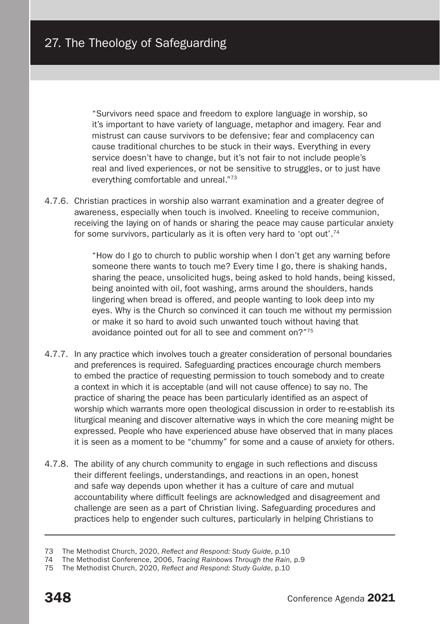"Survivors need space and freedom to explore language in worship, so it's important to have variety of language, metaphor and imagery. Fear and mistrust can cause survivors to be defensive; fear and complacency can cause traditional churches to be stuck in their ways. Everything in every service doesn't have to change, but it's not fair to not include people's real and lived experiences, or not be sensitive to struggles, or to just have everything comfortable and unreal."73

4.7.6. Christian practices in worship also warrant examination and a greater degree of awareness, especially when touch is involved. Kneeling to receive communion, receiving the laying on of hands or sharing the peace may cause particular anxiety for some survivors, particularly as it is often very hard to 'opt out'.74

> "How do I go to church to public worship when I don't get any warning before someone there wants to touch me? Every time I go, there is shaking hands, sharing the peace, unsolicited hugs, being asked to hold hands, being kissed, being anointed with oil, foot washing, arms around the shoulders, hands lingering when bread is offered, and people wanting to look deep into my eyes. Why is the Church so convinced it can touch me without my permission or make it so hard to avoid such unwanted touch without having that avoidance pointed out for all to see and comment on?"75

- 4.7.7. In any practice which involves touch a greater consideration of personal boundaries and preferences is required. Safeguarding practices encourage church members to embed the practice of requesting permission to touch somebody and to create a context in which it is acceptable (and will not cause offence) to say no. The practice of sharing the peace has been particularly identified as an aspect of worship which warrants more open theological discussion in order to re-establish its liturgical meaning and discover alternative ways in which the core meaning might be expressed. People who have experienced abuse have observed that in many places it is seen as a moment to be "chummy" for some and a cause of anxiety for others.
- 4.7.8. The ability of any church community to engage in such reflections and discuss their different feelings, understandings, and reactions in an open, honest and safe way depends upon whether it has a culture of care and mutual accountability where difficult feelings are acknowledged and disagreement and challenge are seen as a part of Christian living. Safeguarding procedures and practices help to engender such cultures, particularly in helping Christians to

<sup>73</sup> The Methodist Church, 2020, *Reflect and Respond: Study Guide*, p.10

<sup>74</sup> The Methodist Conference, 2006, *Tracing Rainbows Through the Rain*, p.9

<sup>75</sup> The Methodist Church, 2020, *Reflect and Respond: Study Guide*, p.10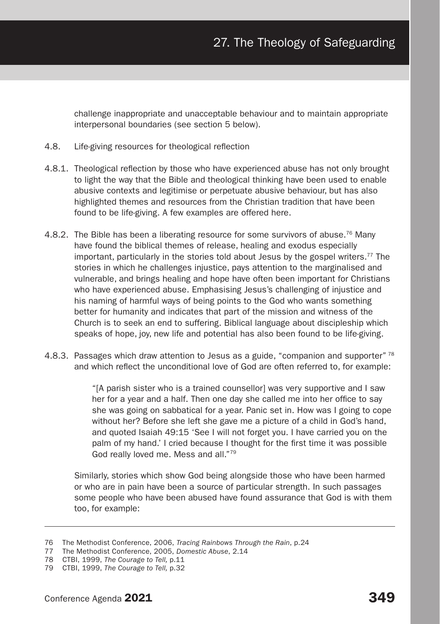challenge inappropriate and unacceptable behaviour and to maintain appropriate interpersonal boundaries (see section 5 below).

- 4.8. Life-giving resources for theological reflection
- 4.8.1. Theological reflection by those who have experienced abuse has not only brought to light the way that the Bible and theological thinking have been used to enable abusive contexts and legitimise or perpetuate abusive behaviour, but has also highlighted themes and resources from the Christian tradition that have been found to be life-giving. A few examples are offered here.
- 4.8.2. The Bible has been a liberating resource for some survivors of abuse.<sup>76</sup> Many have found the biblical themes of release, healing and exodus especially important, particularly in the stories told about Jesus by the gospel writers.77 The stories in which he challenges injustice, pays attention to the marginalised and vulnerable, and brings healing and hope have often been important for Christians who have experienced abuse. Emphasising Jesus's challenging of injustice and his naming of harmful ways of being points to the God who wants something better for humanity and indicates that part of the mission and witness of the Church is to seek an end to suffering. Biblical language about discipleship which speaks of hope, joy, new life and potential has also been found to be life-giving.
- 4.8.3. Passages which draw attention to Jesus as a guide, "companion and supporter"<sup>78</sup> and which reflect the unconditional love of God are often referred to, for example:

"[A parish sister who is a trained counsellor] was very supportive and I saw her for a year and a half. Then one day she called me into her office to say she was going on sabbatical for a year. Panic set in. How was I going to cope without her? Before she left she gave me a picture of a child in God's hand, and quoted Isaiah 49:15 'See I will not forget you. I have carried you on the palm of my hand.' I cried because I thought for the first time it was possible God really loved me. Mess and all."79

Similarly, stories which show God being alongside those who have been harmed or who are in pain have been a source of particular strength. In such passages some people who have been abused have found assurance that God is with them too, for example:

<sup>76</sup> The Methodist Conference, 2006, *Tracing Rainbows Through the Rain*, p.24

<sup>77</sup> The Methodist Conference, 2005, *Domestic Abuse*, 2.14

<sup>78</sup> CTBI, 1999, *The Courage to Tell,* p.11

<sup>79</sup> CTBI, 1999, *The Courage to Tell,* p.32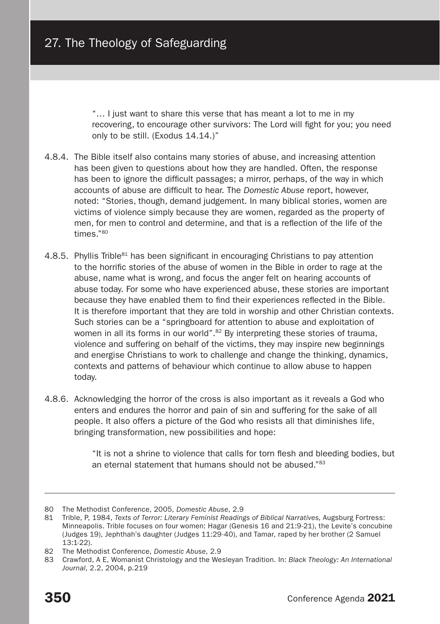"… I just want to share this verse that has meant a lot to me in my recovering, to encourage other survivors: The Lord will fight for you; you need only to be still. (Exodus 14.14.)"

- 4.8.4. The Bible itself also contains many stories of abuse, and increasing attention has been given to questions about how they are handled. Often, the response has been to ignore the difficult passages; a mirror, perhaps, of the way in which accounts of abuse are difficult to hear. The *Domestic Abuse* report, however, noted: "Stories, though, demand judgement. In many biblical stories, women are victims of violence simply because they are women, regarded as the property of men, for men to control and determine, and that is a reflection of the life of the times."80
- 4.8.5. Phyllis Trible<sup>81</sup> has been significant in encouraging Christians to pay attention to the horrific stories of the abuse of women in the Bible in order to rage at the abuse, name what is wrong, and focus the anger felt on hearing accounts of abuse today. For some who have experienced abuse, these stories are important because they have enabled them to find their experiences reflected in the Bible. It is therefore important that they are told in worship and other Christian contexts. Such stories can be a "springboard for attention to abuse and exploitation of women in all its forms in our world".<sup>82</sup> By interpreting these stories of trauma, violence and suffering on behalf of the victims, they may inspire new beginnings and energise Christians to work to challenge and change the thinking, dynamics, contexts and patterns of behaviour which continue to allow abuse to happen today.
- 4.8.6. Acknowledging the horror of the cross is also important as it reveals a God who enters and endures the horror and pain of sin and suffering for the sake of all people. It also offers a picture of the God who resists all that diminishes life, bringing transformation, new possibilities and hope:

"It is not a shrine to violence that calls for torn flesh and bleeding bodies, but an eternal statement that humans should not be abused."83

<sup>80</sup> The Methodist Conference, 2005, *Domestic Abuse*, 2.9

<sup>81</sup> Trible, P, 1984, *Texts of Terror: Literary Feminist Readings of Biblical Narratives,* Augsburg Fortress: Minneapolis. Trible focuses on four women: Hagar (Genesis 16 and 21:9-21), the Levite's concubine (Judges 19), Jephthah's daughter (Judges 11:29-40), and Tamar, raped by her brother (2 Samuel 13:1-22).

<sup>82</sup> The Methodist Conference, *Domestic Abuse*, 2.9

<sup>83</sup> Crawford, A F. Womanist Christology and the Wesleyan Tradition. In: *Black Theology: An International Journal*, 2.2, 2004, p.219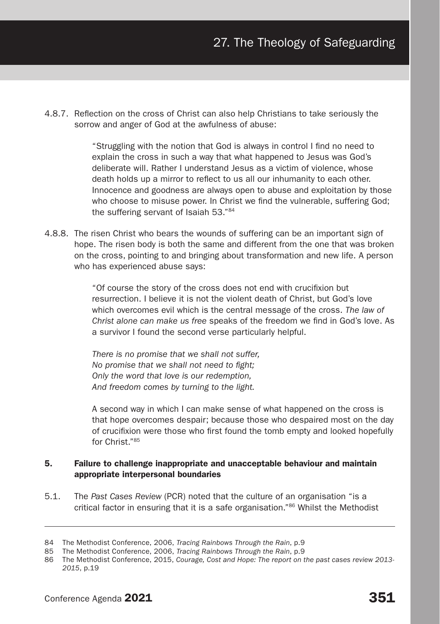4.8.7. Reflection on the cross of Christ can also help Christians to take seriously the sorrow and anger of God at the awfulness of abuse:

> "Struggling with the notion that God is always in control I find no need to explain the cross in such a way that what happened to Jesus was God's deliberate will. Rather I understand Jesus as a victim of violence, whose death holds up a mirror to reflect to us all our inhumanity to each other. Innocence and goodness are always open to abuse and exploitation by those who choose to misuse power. In Christ we find the vulnerable, suffering God; the suffering servant of Isaiah 53."84

4.8.8. The risen Christ who bears the wounds of suffering can be an important sign of hope. The risen body is both the same and different from the one that was broken on the cross, pointing to and bringing about transformation and new life. A person who has experienced abuse says:

> "Of course the story of the cross does not end with crucifixion but resurrection. I believe it is not the violent death of Christ, but God's love which overcomes evil which is the central message of the cross. *The law of Christ alone can make us free* speaks of the freedom we find in God's love. As a survivor I found the second verse particularly helpful.

*There is no promise that we shall not suffer, No promise that we shall not need to fight; Only the word that love is our redemption, And freedom comes by turning to the light.*

A second way in which I can make sense of what happened on the cross is that hope overcomes despair; because those who despaired most on the day of crucifixion were those who first found the tomb empty and looked hopefully for Christ."85

# 5. Failure to challenge inappropriate and unacceptable behaviour and maintain appropriate interpersonal boundaries

5.1. The *Past Cases Review* (PCR) noted that the culture of an organisation "is a critical factor in ensuring that it is a safe organisation."86 Whilst the Methodist

<sup>84</sup> The Methodist Conference, 2006, *Tracing Rainbows Through the Rain*, p.9

<sup>85</sup> The Methodist Conference, 2006, *Tracing Rainbows Through the Rain*, p.9

<sup>86</sup> The Methodist Conference, 2015, *Courage, Cost and Hope: The report on the past cases review 2013- 2015*, p.19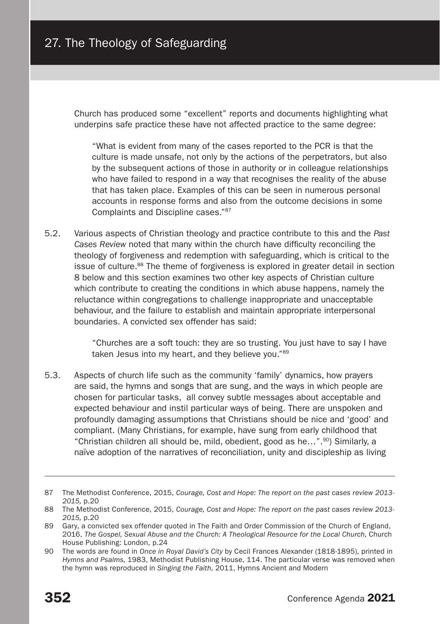Church has produced some "excellent" reports and documents highlighting what underpins safe practice these have not affected practice to the same degree:

"What is evident from many of the cases reported to the PCR is that the culture is made unsafe, not only by the actions of the perpetrators, but also by the subsequent actions of those in authority or in colleague relationships who have failed to respond in a way that recognises the reality of the abuse that has taken place. Examples of this can be seen in numerous personal accounts in response forms and also from the outcome decisions in some Complaints and Discipline cases."87

5.2. Various aspects of Christian theology and practice contribute to this and the *Past Cases Review* noted that many within the church have difficulty reconciling the theology of forgiveness and redemption with safeguarding, which is critical to the issue of culture. $88$  The theme of forgiveness is explored in greater detail in section 8 below and this section examines two other key aspects of Christian culture which contribute to creating the conditions in which abuse happens, namely the reluctance within congregations to challenge inappropriate and unacceptable behaviour, and the failure to establish and maintain appropriate interpersonal boundaries. A convicted sex offender has said:

> "Churches are a soft touch: they are so trusting. You just have to say I have taken Jesus into my heart, and they believe you."89

5.3. Aspects of church life such as the community 'family' dynamics, how prayers are said, the hymns and songs that are sung, and the ways in which people are chosen for particular tasks, all convey subtle messages about acceptable and expected behaviour and instil particular ways of being. There are unspoken and profoundly damaging assumptions that Christians should be nice and 'good' and compliant. (Many Christians, for example, have sung from early childhood that "Christian children all should be, mild, obedient, good as he…".90) Similarly, a naïve adoption of the narratives of reconciliation, unity and discipleship as living

<sup>87</sup> The Methodist Conference, 2015, *Courage, Cost and Hope: The report on the past cases review 2013- 2015,* p.20

<sup>88</sup> The Methodist Conference, 2015, *Courage, Cost and Hope: The report on the past cases review 2013- 2015,* p.20

<sup>89</sup> Gary, a convicted sex offender quoted in The Faith and Order Commission of the Church of England, 2016, *The Gospel, Sexual Abuse and the Church: A Theological Resource for the Local Church,* Church House Publishing: London, p.24

<sup>90</sup> The words are found in *Once in Royal David's City* by Cecil Frances Alexander (1818-1895), printed in *Hymns and Psalms,* 1983, Methodist Publishing House, 114. The particular verse was removed when the hymn was reproduced in *Singing the Faith,* 2011, Hymns Ancient and Modern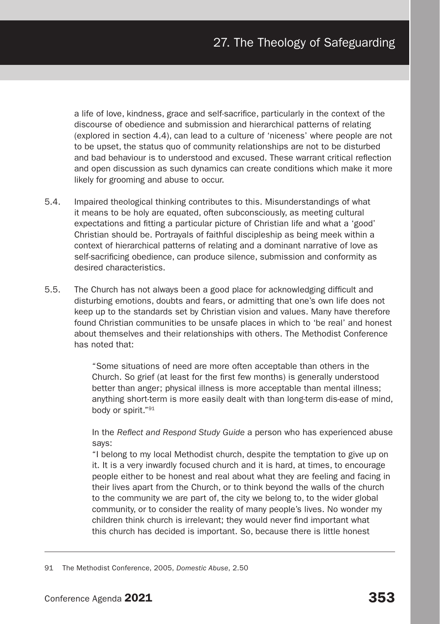a life of love, kindness, grace and self-sacrifice, particularly in the context of the discourse of obedience and submission and hierarchical patterns of relating (explored in section 4.4), can lead to a culture of 'niceness' where people are not to be upset, the status quo of community relationships are not to be disturbed and bad behaviour is to understood and excused. These warrant critical reflection and open discussion as such dynamics can create conditions which make it more likely for grooming and abuse to occur.

- 5.4. Impaired theological thinking contributes to this. Misunderstandings of what it means to be holy are equated, often subconsciously, as meeting cultural expectations and fitting a particular picture of Christian life and what a 'good' Christian should be. Portrayals of faithful discipleship as being meek within a context of hierarchical patterns of relating and a dominant narrative of love as self-sacrificing obedience, can produce silence, submission and conformity as desired characteristics.
- 5.5. The Church has not always been a good place for acknowledging difficult and disturbing emotions, doubts and fears, or admitting that one's own life does not keep up to the standards set by Christian vision and values. Many have therefore found Christian communities to be unsafe places in which to 'be real' and honest about themselves and their relationships with others. The Methodist Conference has noted that:

"Some situations of need are more often acceptable than others in the Church. So grief (at least for the first few months) is generally understood better than anger; physical illness is more acceptable than mental illness; anything short-term is more easily dealt with than long-term dis-ease of mind, body or spirit."91

In the *Reflect and Respond Study Guide* a person who has experienced abuse says:

"I belong to my local Methodist church, despite the temptation to give up on it. It is a very inwardly focused church and it is hard, at times, to encourage people either to be honest and real about what they are feeling and facing in their lives apart from the Church, or to think beyond the walls of the church to the community we are part of, the city we belong to, to the wider global community, or to consider the reality of many people's lives. No wonder my children think church is irrelevant; they would never find important what this church has decided is important. So, because there is little honest

<sup>91</sup> The Methodist Conference, 2005, *Domestic Abuse*, 2.50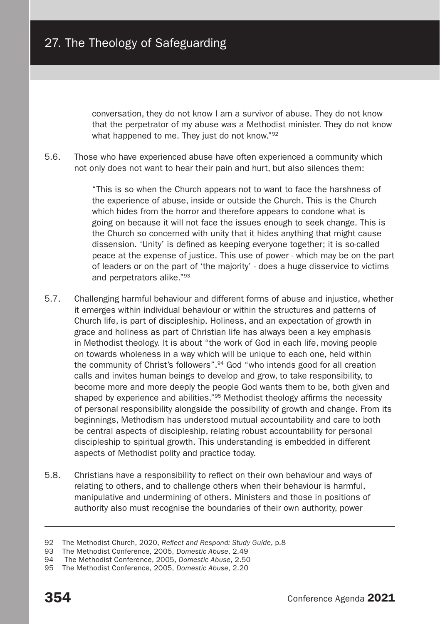conversation, they do not know I am a survivor of abuse. They do not know that the perpetrator of my abuse was a Methodist minister. They do not know what happened to me. They just do not know."<sup>92</sup>

5.6. Those who have experienced abuse have often experienced a community which not only does not want to hear their pain and hurt, but also silences them:

> "This is so when the Church appears not to want to face the harshness of the experience of abuse, inside or outside the Church. This is the Church which hides from the horror and therefore appears to condone what is going on because it will not face the issues enough to seek change. This is the Church so concerned with unity that it hides anything that might cause dissension. 'Unity' is defined as keeping everyone together; it is so-called peace at the expense of justice. This use of power - which may be on the part of leaders or on the part of 'the majority' - does a huge disservice to victims and perpetrators alike."93

- 5.7. Challenging harmful behaviour and different forms of abuse and injustice, whether it emerges within individual behaviour or within the structures and patterns of Church life, is part of discipleship. Holiness, and an expectation of growth in grace and holiness as part of Christian life has always been a key emphasis in Methodist theology. It is about "the work of God in each life, moving people on towards wholeness in a way which will be unique to each one, held within the community of Christ's followers".94 God "who intends good for all creation calls and invites human beings to develop and grow, to take responsibility, to become more and more deeply the people God wants them to be, both given and shaped by experience and abilities."<sup>95</sup> Methodist theology affirms the necessity of personal responsibility alongside the possibility of growth and change. From its beginnings, Methodism has understood mutual accountability and care to both be central aspects of discipleship, relating robust accountability for personal discipleship to spiritual growth. This understanding is embedded in different aspects of Methodist polity and practice today.
- 5.8. Christians have a responsibility to reflect on their own behaviour and ways of relating to others, and to challenge others when their behaviour is harmful, manipulative and undermining of others. Ministers and those in positions of authority also must recognise the boundaries of their own authority, power

<sup>92</sup> The Methodist Church, 2020, *Reflect and Respond: Study Guide*, p.8

<sup>93</sup> The Methodist Conference, 2005, *Domestic Abuse*, 2.49

<sup>94</sup> The Methodist Conference, 2005, *Domestic Abuse*, 2.50

<sup>95</sup> The Methodist Conference, 2005, *Domestic Abuse*, 2.20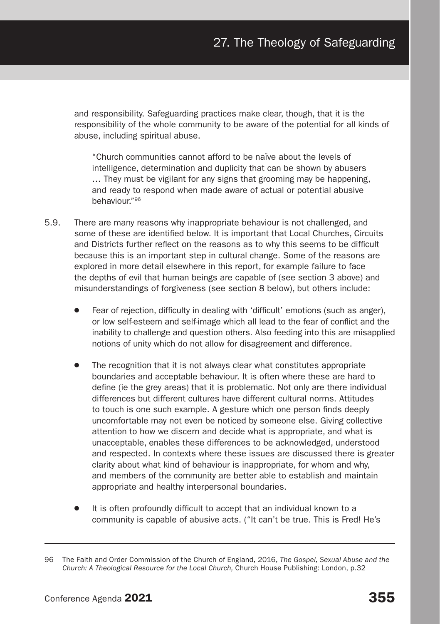and responsibility. Safeguarding practices make clear, though, that it is the responsibility of the whole community to be aware of the potential for all kinds of abuse, including spiritual abuse.

"Church communities cannot afford to be naïve about the levels of intelligence, determination and duplicity that can be shown by abusers … They must be vigilant for any signs that grooming may be happening, and ready to respond when made aware of actual or potential abusive behaviour."96

- 5.9. There are many reasons why inappropriate behaviour is not challenged, and some of these are identified below. It is important that Local Churches, Circuits and Districts further reflect on the reasons as to why this seems to be difficult because this is an important step in cultural change. Some of the reasons are explored in more detail elsewhere in this report, for example failure to face the depths of evil that human beings are capable of (see section 3 above) and misunderstandings of forgiveness (see section 8 below), but others include:
	- Fear of rejection, difficulty in dealing with 'difficult' emotions (such as anger), or low self-esteem and self-image which all lead to the fear of conflict and the inability to challenge and question others. Also feeding into this are misapplied notions of unity which do not allow for disagreement and difference.
	- The recognition that it is not always clear what constitutes appropriate boundaries and acceptable behaviour. It is often where these are hard to define (ie the grey areas) that it is problematic. Not only are there individual differences but different cultures have different cultural norms. Attitudes to touch is one such example. A gesture which one person finds deeply uncomfortable may not even be noticed by someone else. Giving collective attention to how we discern and decide what is appropriate, and what is unacceptable, enables these differences to be acknowledged, understood and respected. In contexts where these issues are discussed there is greater clarity about what kind of behaviour is inappropriate, for whom and why, and members of the community are better able to establish and maintain appropriate and healthy interpersonal boundaries.
	- It is often profoundly difficult to accept that an individual known to a community is capable of abusive acts. ("It can't be true. This is Fred! He's

<sup>96</sup> The Faith and Order Commission of the Church of England, 2016, *The Gospel, Sexual Abuse and the Church: A Theological Resource for the Local Church,* Church House Publishing: London, p.32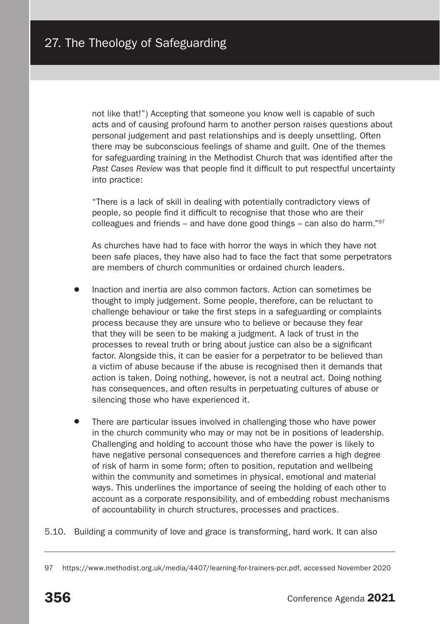not like that!") Accepting that someone you know well is capable of such acts and of causing profound harm to another person raises questions about personal judgement and past relationships and is deeply unsettling. Often there may be subconscious feelings of shame and guilt. One of the themes for safeguarding training in the Methodist Church that was identified after the *Past Cases Review* was that people find it difficult to put respectful uncertainty into practice:

"There is a lack of skill in dealing with potentially contradictory views of people, so people find it difficult to recognise that those who are their colleagues and friends – and have done good things – can also do harm." $97$ 

As churches have had to face with horror the ways in which they have not been safe places, they have also had to face the fact that some perpetrators are members of church communities or ordained church leaders.

- Inaction and inertia are also common factors. Action can sometimes be thought to imply judgement. Some people, therefore, can be reluctant to challenge behaviour or take the first steps in a safeguarding or complaints process because they are unsure who to believe or because they fear that they will be seen to be making a judgment. A lack of trust in the processes to reveal truth or bring about justice can also be a significant factor. Alongside this, it can be easier for a perpetrator to be believed than a victim of abuse because if the abuse is recognised then it demands that action is taken. Doing nothing, however, is not a neutral act. Doing nothing has consequences, and often results in perpetuating cultures of abuse or silencing those who have experienced it.
- There are particular issues involved in challenging those who have power in the church community who may or may not be in positions of leadership. Challenging and holding to account those who have the power is likely to have negative personal consequences and therefore carries a high degree of risk of harm in some form; often to position, reputation and wellbeing within the community and sometimes in physical, emotional and material ways. This underlines the importance of seeing the holding of each other to account as a corporate responsibility, and of embedding robust mechanisms of accountability in church structures, processes and practices.
- 5.10. Building a community of love and grace is transforming, hard work. It can also

<sup>97</sup> https://www.methodist.org.uk/media/4407/learning-for-trainers-pcr.pdf, accessed November 2020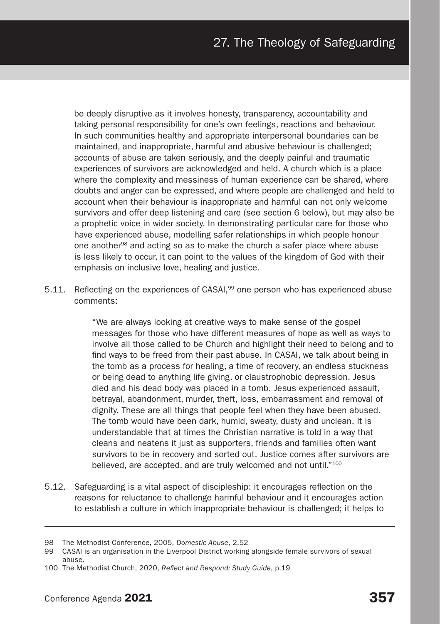be deeply disruptive as it involves honesty, transparency, accountability and taking personal responsibility for one's own feelings, reactions and behaviour. In such communities healthy and appropriate interpersonal boundaries can be maintained, and inappropriate, harmful and abusive behaviour is challenged; accounts of abuse are taken seriously, and the deeply painful and traumatic experiences of survivors are acknowledged and held. A church which is a place where the complexity and messiness of human experience can be shared, where doubts and anger can be expressed, and where people are challenged and held to account when their behaviour is inappropriate and harmful can not only welcome survivors and offer deep listening and care (see section 6 below), but may also be a prophetic voice in wider society. In demonstrating particular care for those who have experienced abuse, modelling safer relationships in which people honour one another98 and acting so as to make the church a safer place where abuse is less likely to occur, it can point to the values of the kingdom of God with their emphasis on inclusive love, healing and justice.

5.11. Reflecting on the experiences of CASAI,<sup>99</sup> one person who has experienced abuse comments:

> "We are always looking at creative ways to make sense of the gospel messages for those who have different measures of hope as well as ways to involve all those called to be Church and highlight their need to belong and to find ways to be freed from their past abuse. In CASAI, we talk about being in the tomb as a process for healing, a time of recovery, an endless stuckness or being dead to anything life giving, or claustrophobic depression. Jesus died and his dead body was placed in a tomb. Jesus experienced assault, betrayal, abandonment, murder, theft, loss, embarrassment and removal of dignity. These are all things that people feel when they have been abused. The tomb would have been dark, humid, sweaty, dusty and unclean. It is understandable that at times the Christian narrative is told in a way that cleans and neatens it just as supporters, friends and families often want survivors to be in recovery and sorted out. Justice comes after survivors are believed, are accepted, and are truly welcomed and not until."100

5.12. Safeguarding is a vital aspect of discipleship: it encourages reflection on the reasons for reluctance to challenge harmful behaviour and it encourages action to establish a culture in which inappropriate behaviour is challenged; it helps to

<sup>98</sup> The Methodist Conference, 2005, *Domestic Abuse*, 2.52

<sup>99</sup> CASAI is an organisation in the Liverpool District working alongside female survivors of sexual abuse.

<sup>100</sup> The Methodist Church, 2020, *Reflect and Respond: Study Guide*, p.19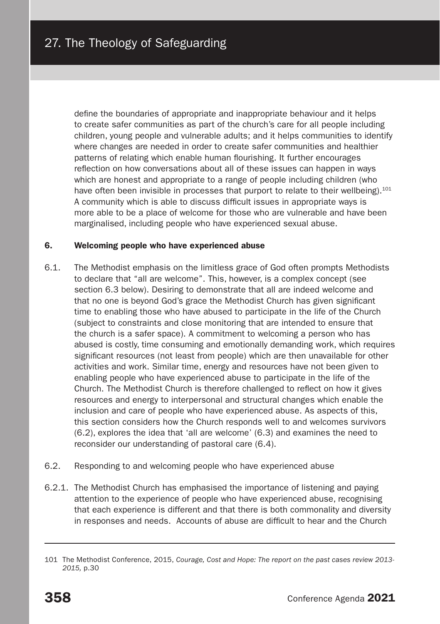define the boundaries of appropriate and inappropriate behaviour and it helps to create safer communities as part of the church's care for all people including children, young people and vulnerable adults; and it helps communities to identify where changes are needed in order to create safer communities and healthier patterns of relating which enable human flourishing. It further encourages reflection on how conversations about all of these issues can happen in ways which are honest and appropriate to a range of people including children (who have often been invisible in processes that purport to relate to their wellbeing).<sup>101</sup> A community which is able to discuss difficult issues in appropriate ways is more able to be a place of welcome for those who are vulnerable and have been marginalised, including people who have experienced sexual abuse.

#### 6. Welcoming people who have experienced abuse

- 6.1. The Methodist emphasis on the limitless grace of God often prompts Methodists to declare that "all are welcome". This, however, is a complex concept (see section 6.3 below). Desiring to demonstrate that all are indeed welcome and that no one is beyond God's grace the Methodist Church has given significant time to enabling those who have abused to participate in the life of the Church (subject to constraints and close monitoring that are intended to ensure that the church is a safer space). A commitment to welcoming a person who has abused is costly, time consuming and emotionally demanding work, which requires significant resources (not least from people) which are then unavailable for other activities and work. Similar time, energy and resources have not been given to enabling people who have experienced abuse to participate in the life of the Church. The Methodist Church is therefore challenged to reflect on how it gives resources and energy to interpersonal and structural changes which enable the inclusion and care of people who have experienced abuse. As aspects of this, this section considers how the Church responds well to and welcomes survivors (6.2), explores the idea that 'all are welcome' (6.3) and examines the need to reconsider our understanding of pastoral care (6.4).
- 6.2. Responding to and welcoming people who have experienced abuse
- 6.2.1. The Methodist Church has emphasised the importance of listening and paying attention to the experience of people who have experienced abuse, recognising that each experience is different and that there is both commonality and diversity in responses and needs. Accounts of abuse are difficult to hear and the Church

<sup>101</sup> The Methodist Conference, 2015, *Courage, Cost and Hope: The report on the past cases review 2013- 2015,* p.30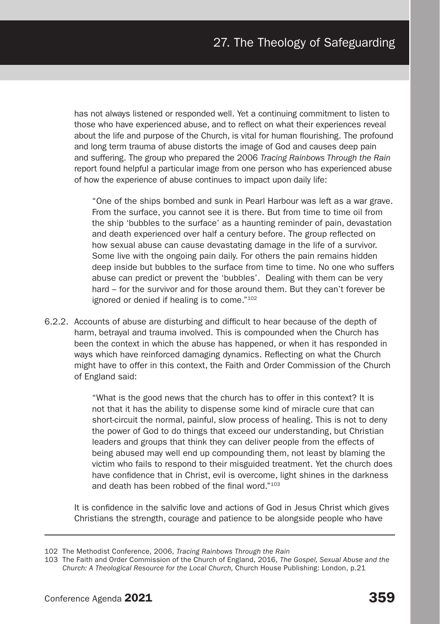has not always listened or responded well. Yet a continuing commitment to listen to those who have experienced abuse, and to reflect on what their experiences reveal about the life and purpose of the Church, is vital for human flourishing. The profound and long term trauma of abuse distorts the image of God and causes deep pain and suffering. The group who prepared the 2006 *Tracing Rainbows Through the Rain* report found helpful a particular image from one person who has experienced abuse of how the experience of abuse continues to impact upon daily life:

"One of the ships bombed and sunk in Pearl Harbour was left as a war grave. From the surface, you cannot see it is there. But from time to time oil from the ship 'bubbles to the surface' as a haunting reminder of pain, devastation and death experienced over half a century before. The group reflected on how sexual abuse can cause devastating damage in the life of a survivor. Some live with the ongoing pain daily. For others the pain remains hidden deep inside but bubbles to the surface from time to time. No one who suffers abuse can predict or prevent the 'bubbles'. Dealing with them can be very hard – for the survivor and for those around them. But they can't forever be ignored or denied if healing is to come."102

6.2.2. Accounts of abuse are disturbing and difficult to hear because of the depth of harm, betrayal and trauma involved. This is compounded when the Church has been the context in which the abuse has happened, or when it has responded in ways which have reinforced damaging dynamics. Reflecting on what the Church might have to offer in this context, the Faith and Order Commission of the Church of England said:

> "What is the good news that the church has to offer in this context? It is not that it has the ability to dispense some kind of miracle cure that can short-circuit the normal, painful, slow process of healing. This is not to deny the power of God to do things that exceed our understanding, but Christian leaders and groups that think they can deliver people from the effects of being abused may well end up compounding them, not least by blaming the victim who fails to respond to their misguided treatment. Yet the church does have confidence that in Christ, evil is overcome, light shines in the darkness and death has been robbed of the final word."103

It is confidence in the salvific love and actions of God in Jesus Christ which gives Christians the strength, courage and patience to be alongside people who have

<sup>102</sup> The Methodist Conference, 2006, *Tracing Rainbows Through the Rain*

<sup>103</sup> The Faith and Order Commission of the Church of England, 2016, *The Gospel, Sexual Abuse and the Church: A Theological Resource for the Local Church,* Church House Publishing: London, p.21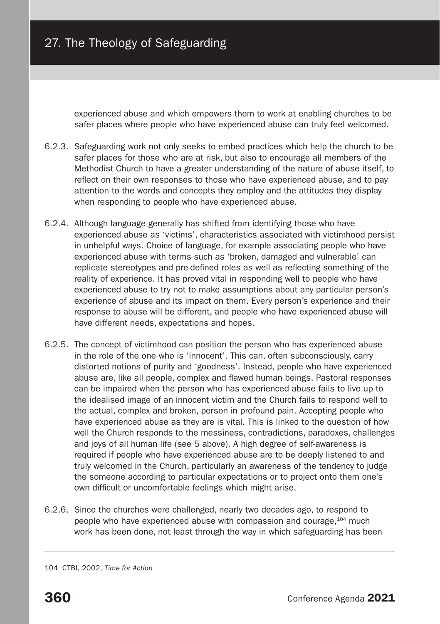experienced abuse and which empowers them to work at enabling churches to be safer places where people who have experienced abuse can truly feel welcomed.

- 6.2.3. Safeguarding work not only seeks to embed practices which help the church to be safer places for those who are at risk, but also to encourage all members of the Methodist Church to have a greater understanding of the nature of abuse itself, to reflect on their own responses to those who have experienced abuse, and to pay attention to the words and concepts they employ and the attitudes they display when responding to people who have experienced abuse.
- 6.2.4. Although language generally has shifted from identifying those who have experienced abuse as 'victims', characteristics associated with victimhood persist in unhelpful ways. Choice of language, for example associating people who have experienced abuse with terms such as 'broken, damaged and vulnerable' can replicate stereotypes and pre-defined roles as well as reflecting something of the reality of experience. It has proved vital in responding well to people who have experienced abuse to try not to make assumptions about any particular person's experience of abuse and its impact on them. Every person's experience and their response to abuse will be different, and people who have experienced abuse will have different needs, expectations and hopes.
- 6.2.5. The concept of victimhood can position the person who has experienced abuse in the role of the one who is 'innocent'. This can, often subconsciously, carry distorted notions of purity and 'goodness'. Instead, people who have experienced abuse are, like all people, complex and flawed human beings. Pastoral responses can be impaired when the person who has experienced abuse fails to live up to the idealised image of an innocent victim and the Church fails to respond well to the actual, complex and broken, person in profound pain. Accepting people who have experienced abuse as they are is vital. This is linked to the question of how well the Church responds to the messiness, contradictions, paradoxes, challenges and joys of all human life (see 5 above). A high degree of self-awareness is required if people who have experienced abuse are to be deeply listened to and truly welcomed in the Church, particularly an awareness of the tendency to judge the someone according to particular expectations or to project onto them one's own difficult or uncomfortable feelings which might arise.
- 6.2.6. Since the churches were challenged, nearly two decades ago, to respond to people who have experienced abuse with compassion and courage,<sup>104</sup> much work has been done, not least through the way in which safeguarding has been

104 CTBI, 2002, *Time for Action*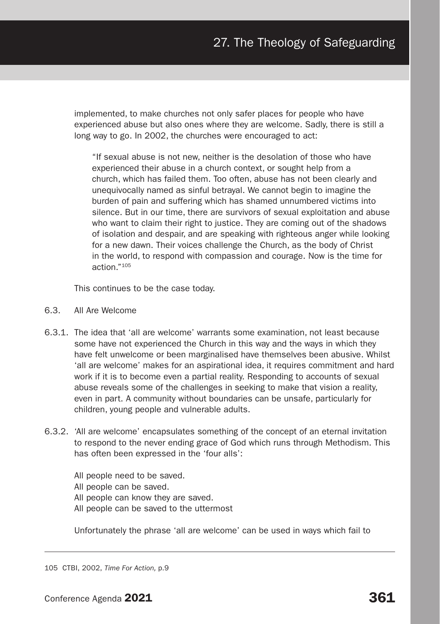implemented, to make churches not only safer places for people who have experienced abuse but also ones where they are welcome. Sadly, there is still a long way to go. In 2002, the churches were encouraged to act:

"If sexual abuse is not new, neither is the desolation of those who have experienced their abuse in a church context, or sought help from a church, which has failed them. Too often, abuse has not been clearly and unequivocally named as sinful betrayal. We cannot begin to imagine the burden of pain and suffering which has shamed unnumbered victims into silence. But in our time, there are survivors of sexual exploitation and abuse who want to claim their right to justice. They are coming out of the shadows of isolation and despair, and are speaking with righteous anger while looking for a new dawn. Their voices challenge the Church, as the body of Christ in the world, to respond with compassion and courage. Now is the time for action."105

This continues to be the case today.

- 6.3. All Are Welcome
- 6.3.1. The idea that 'all are welcome' warrants some examination, not least because some have not experienced the Church in this way and the ways in which they have felt unwelcome or been marginalised have themselves been abusive. Whilst 'all are welcome' makes for an aspirational idea, it requires commitment and hard work if it is to become even a partial reality. Responding to accounts of sexual abuse reveals some of the challenges in seeking to make that vision a reality, even in part. A community without boundaries can be unsafe, particularly for children, young people and vulnerable adults.
- 6.3.2. 'All are welcome' encapsulates something of the concept of an eternal invitation to respond to the never ending grace of God which runs through Methodism. This has often been expressed in the 'four alls':

All people need to be saved. All people can be saved. All people can know they are saved. All people can be saved to the uttermost

Unfortunately the phrase 'all are welcome' can be used in ways which fail to

105 CTBI, 2002, *Time For Action,* p.9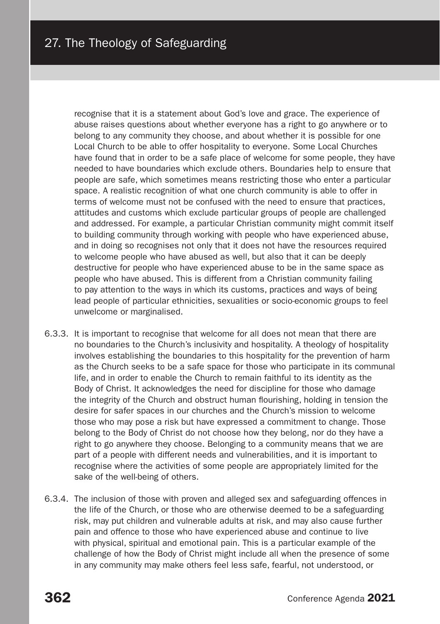recognise that it is a statement about God's love and grace. The experience of abuse raises questions about whether everyone has a right to go anywhere or to belong to any community they choose, and about whether it is possible for one Local Church to be able to offer hospitality to everyone. Some Local Churches have found that in order to be a safe place of welcome for some people, they have needed to have boundaries which exclude others. Boundaries help to ensure that people are safe, which sometimes means restricting those who enter a particular space. A realistic recognition of what one church community is able to offer in terms of welcome must not be confused with the need to ensure that practices, attitudes and customs which exclude particular groups of people are challenged and addressed. For example, a particular Christian community might commit itself to building community through working with people who have experienced abuse, and in doing so recognises not only that it does not have the resources required to welcome people who have abused as well, but also that it can be deeply destructive for people who have experienced abuse to be in the same space as people who have abused. This is different from a Christian community failing to pay attention to the ways in which its customs, practices and ways of being lead people of particular ethnicities, sexualities or socio-economic groups to feel unwelcome or marginalised.

- 6.3.3. It is important to recognise that welcome for all does not mean that there are no boundaries to the Church's inclusivity and hospitality. A theology of hospitality involves establishing the boundaries to this hospitality for the prevention of harm as the Church seeks to be a safe space for those who participate in its communal life, and in order to enable the Church to remain faithful to its identity as the Body of Christ. It acknowledges the need for discipline for those who damage the integrity of the Church and obstruct human flourishing, holding in tension the desire for safer spaces in our churches and the Church's mission to welcome those who may pose a risk but have expressed a commitment to change. Those belong to the Body of Christ do not choose how they belong, nor do they have a right to go anywhere they choose. Belonging to a community means that we are part of a people with different needs and vulnerabilities, and it is important to recognise where the activities of some people are appropriately limited for the sake of the well-being of others.
- 6.3.4. The inclusion of those with proven and alleged sex and safeguarding offences in the life of the Church, or those who are otherwise deemed to be a safeguarding risk, may put children and vulnerable adults at risk, and may also cause further pain and offence to those who have experienced abuse and continue to live with physical, spiritual and emotional pain. This is a particular example of the challenge of how the Body of Christ might include all when the presence of some in any community may make others feel less safe, fearful, not understood, or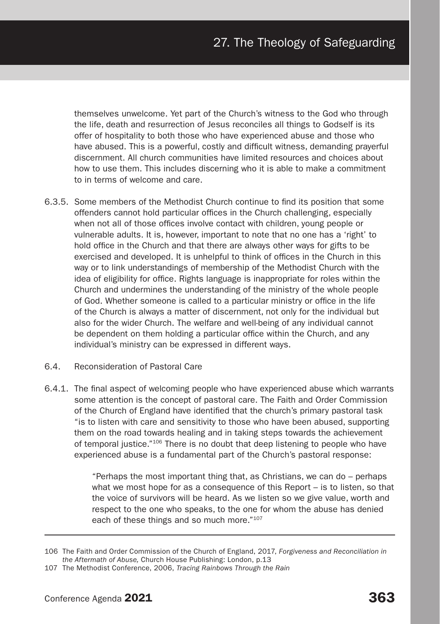themselves unwelcome. Yet part of the Church's witness to the God who through the life, death and resurrection of Jesus reconciles all things to Godself is its offer of hospitality to both those who have experienced abuse and those who have abused. This is a powerful, costly and difficult witness, demanding prayerful discernment. All church communities have limited resources and choices about how to use them. This includes discerning who it is able to make a commitment to in terms of welcome and care.

- 6.3.5. Some members of the Methodist Church continue to find its position that some offenders cannot hold particular offices in the Church challenging, especially when not all of those offices involve contact with children, young people or vulnerable adults. It is, however, important to note that no one has a 'right' to hold office in the Church and that there are always other ways for gifts to be exercised and developed. It is unhelpful to think of offices in the Church in this way or to link understandings of membership of the Methodist Church with the idea of eligibility for office. Rights language is inappropriate for roles within the Church and undermines the understanding of the ministry of the whole people of God. Whether someone is called to a particular ministry or office in the life of the Church is always a matter of discernment, not only for the individual but also for the wider Church. The welfare and well-being of any individual cannot be dependent on them holding a particular office within the Church, and any individual's ministry can be expressed in different ways.
- 6.4. Reconsideration of Pastoral Care
- 6.4.1. The final aspect of welcoming people who have experienced abuse which warrants some attention is the concept of pastoral care. The Faith and Order Commission of the Church of England have identified that the church's primary pastoral task "is to listen with care and sensitivity to those who have been abused, supporting them on the road towards healing and in taking steps towards the achievement of temporal justice."<sup>106</sup> There is no doubt that deep listening to people who have experienced abuse is a fundamental part of the Church's pastoral response:

"Perhaps the most important thing that, as Christians, we can do – perhaps what we most hope for as a consequence of this Report – is to listen, so that the voice of survivors will be heard. As we listen so we give value, worth and respect to the one who speaks, to the one for whom the abuse has denied each of these things and so much more."107

<sup>106</sup> The Faith and Order Commission of the Church of England, 2017, *Forgiveness and Reconciliation in the Aftermath of Abuse,* Church House Publishing: London, p.13

<sup>107</sup> The Methodist Conference, 2006, *Tracing Rainbows Through the Rain*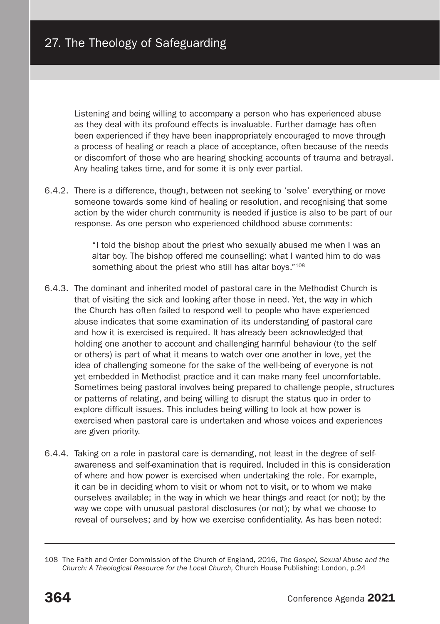Listening and being willing to accompany a person who has experienced abuse as they deal with its profound effects is invaluable. Further damage has often been experienced if they have been inappropriately encouraged to move through a process of healing or reach a place of acceptance, often because of the needs or discomfort of those who are hearing shocking accounts of trauma and betrayal. Any healing takes time, and for some it is only ever partial.

6.4.2. There is a difference, though, between not seeking to 'solve' everything or move someone towards some kind of healing or resolution, and recognising that some action by the wider church community is needed if justice is also to be part of our response. As one person who experienced childhood abuse comments:

> "I told the bishop about the priest who sexually abused me when I was an altar boy. The bishop offered me counselling: what I wanted him to do was something about the priest who still has altar boys."<sup>108</sup>

- 6.4.3. The dominant and inherited model of pastoral care in the Methodist Church is that of visiting the sick and looking after those in need. Yet, the way in which the Church has often failed to respond well to people who have experienced abuse indicates that some examination of its understanding of pastoral care and how it is exercised is required. It has already been acknowledged that holding one another to account and challenging harmful behaviour (to the self or others) is part of what it means to watch over one another in love, yet the idea of challenging someone for the sake of the well-being of everyone is not yet embedded in Methodist practice and it can make many feel uncomfortable. Sometimes being pastoral involves being prepared to challenge people, structures or patterns of relating, and being willing to disrupt the status quo in order to explore difficult issues. This includes being willing to look at how power is exercised when pastoral care is undertaken and whose voices and experiences are given priority.
- 6.4.4. Taking on a role in pastoral care is demanding, not least in the degree of selfawareness and self-examination that is required. Included in this is consideration of where and how power is exercised when undertaking the role. For example, it can be in deciding whom to visit or whom not to visit, or to whom we make ourselves available; in the way in which we hear things and react (or not); by the way we cope with unusual pastoral disclosures (or not); by what we choose to reveal of ourselves; and by how we exercise confidentiality. As has been noted:

<sup>108</sup> The Faith and Order Commission of the Church of England, 2016, *The Gospel, Sexual Abuse and the Church: A Theological Resource for the Local Church,* Church House Publishing: London, p.24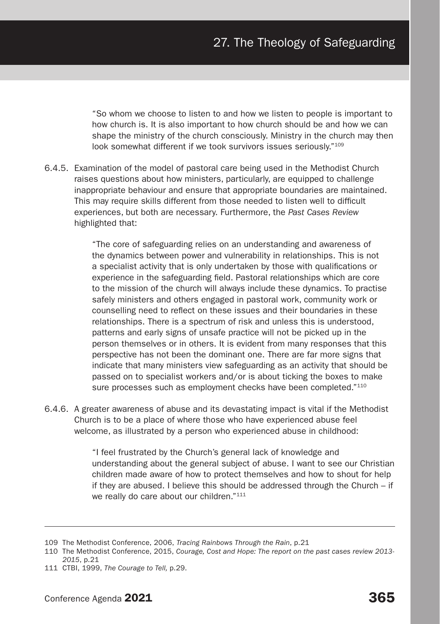"So whom we choose to listen to and how we listen to people is important to how church is. It is also important to how church should be and how we can shape the ministry of the church consciously. Ministry in the church may then look somewhat different if we took survivors issues seriously."<sup>109</sup>

6.4.5. Examination of the model of pastoral care being used in the Methodist Church raises questions about how ministers, particularly, are equipped to challenge inappropriate behaviour and ensure that appropriate boundaries are maintained. This may require skills different from those needed to listen well to difficult experiences, but both are necessary. Furthermore, the *Past Cases Review* highlighted that:

> "The core of safeguarding relies on an understanding and awareness of the dynamics between power and vulnerability in relationships. This is not a specialist activity that is only undertaken by those with qualifications or experience in the safeguarding field. Pastoral relationships which are core to the mission of the church will always include these dynamics. To practise safely ministers and others engaged in pastoral work, community work or counselling need to reflect on these issues and their boundaries in these relationships. There is a spectrum of risk and unless this is understood, patterns and early signs of unsafe practice will not be picked up in the person themselves or in others. It is evident from many responses that this perspective has not been the dominant one. There are far more signs that indicate that many ministers view safeguarding as an activity that should be passed on to specialist workers and/or is about ticking the boxes to make sure processes such as employment checks have been completed."110

6.4.6. A greater awareness of abuse and its devastating impact is vital if the Methodist Church is to be a place of where those who have experienced abuse feel welcome, as illustrated by a person who experienced abuse in childhood:

> "I feel frustrated by the Church's general lack of knowledge and understanding about the general subject of abuse. I want to see our Christian children made aware of how to protect themselves and how to shout for help if they are abused. I believe this should be addressed through the Church – if we really do care about our children."<sup>111</sup>

<sup>109</sup> The Methodist Conference, 2006, *Tracing Rainbows Through the Rain*, p.21

<sup>110</sup> The Methodist Conference, 2015, *Courage, Cost and Hope: The report on the past cases review 2013- 2015*, p.21

<sup>111</sup> CTBI, 1999, *The Courage to Tell,* p.29.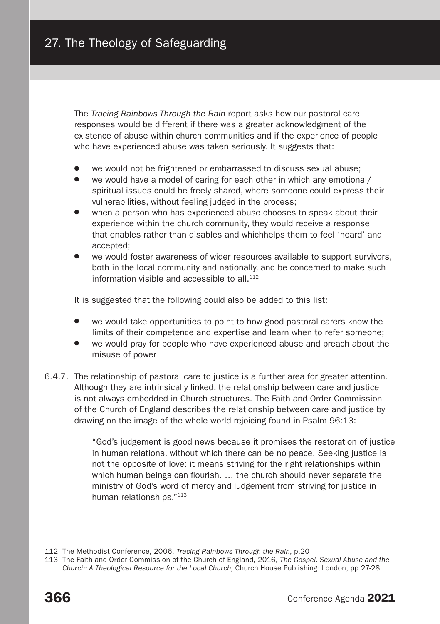The *Tracing Rainbows Through the Rain* report asks how our pastoral care responses would be different if there was a greater acknowledgment of the existence of abuse within church communities and if the experience of people who have experienced abuse was taken seriously. It suggests that:

- we would not be frightened or embarrassed to discuss sexual abuse:
- we would have a model of caring for each other in which any emotional/ spiritual issues could be freely shared, where someone could express their vulnerabilities, without feeling judged in the process;
- when a person who has experienced abuse chooses to speak about their experience within the church community, they would receive a response that enables rather than disables and whichhelps them to feel 'heard' and accepted;
- we would foster awareness of wider resources available to support survivors, both in the local community and nationally, and be concerned to make such information visible and accessible to all  $112$

It is suggested that the following could also be added to this list:

- we would take opportunities to point to how good pastoral carers know the limits of their competence and expertise and learn when to refer someone;
- we would pray for people who have experienced abuse and preach about the misuse of power
- 6.4.7. The relationship of pastoral care to justice is a further area for greater attention. Although they are intrinsically linked, the relationship between care and justice is not always embedded in Church structures. The Faith and Order Commission of the Church of England describes the relationship between care and justice by drawing on the image of the whole world rejoicing found in Psalm 96:13:

"God's judgement is good news because it promises the restoration of justice in human relations, without which there can be no peace. Seeking justice is not the opposite of love: it means striving for the right relationships within which human beings can flourish. … the church should never separate the ministry of God's word of mercy and judgement from striving for justice in human relationships."<sup>113</sup>

<sup>112</sup> The Methodist Conference, 2006, *Tracing Rainbows Through the Rain*, p.20

<sup>113</sup> The Faith and Order Commission of the Church of England, 2016, *The Gospel, Sexual Abuse and the Church: A Theological Resource for the Local Church,* Church House Publishing: London, pp.27-28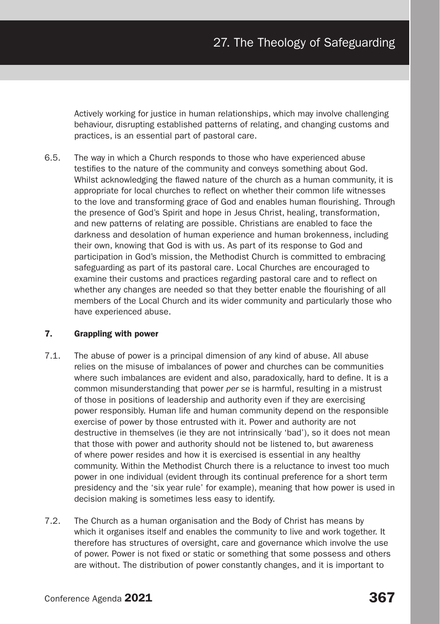Actively working for justice in human relationships, which may involve challenging behaviour, disrupting established patterns of relating, and changing customs and practices, is an essential part of pastoral care.

6.5. The way in which a Church responds to those who have experienced abuse testifies to the nature of the community and conveys something about God. Whilst acknowledging the flawed nature of the church as a human community, it is appropriate for local churches to reflect on whether their common life witnesses to the love and transforming grace of God and enables human flourishing. Through the presence of God's Spirit and hope in Jesus Christ, healing, transformation, and new patterns of relating are possible. Christians are enabled to face the darkness and desolation of human experience and human brokenness, including their own, knowing that God is with us. As part of its response to God and participation in God's mission, the Methodist Church is committed to embracing safeguarding as part of its pastoral care. Local Churches are encouraged to examine their customs and practices regarding pastoral care and to reflect on whether any changes are needed so that they better enable the flourishing of all members of the Local Church and its wider community and particularly those who have experienced abuse.

# 7. Grappling with power

- 7.1. The abuse of power is a principal dimension of any kind of abuse. All abuse relies on the misuse of imbalances of power and churches can be communities where such imbalances are evident and also, paradoxically, hard to define. It is a common misunderstanding that power *per se* is harmful, resulting in a mistrust of those in positions of leadership and authority even if they are exercising power responsibly. Human life and human community depend on the responsible exercise of power by those entrusted with it. Power and authority are not destructive in themselves (ie they are not intrinsically 'bad'), so it does not mean that those with power and authority should not be listened to, but awareness of where power resides and how it is exercised is essential in any healthy community. Within the Methodist Church there is a reluctance to invest too much power in one individual (evident through its continual preference for a short term presidency and the 'six year rule' for example), meaning that how power is used in decision making is sometimes less easy to identify.
- 7.2. The Church as a human organisation and the Body of Christ has means by which it organises itself and enables the community to live and work together. It therefore has structures of oversight, care and governance which involve the use of power. Power is not fixed or static or something that some possess and others are without. The distribution of power constantly changes, and it is important to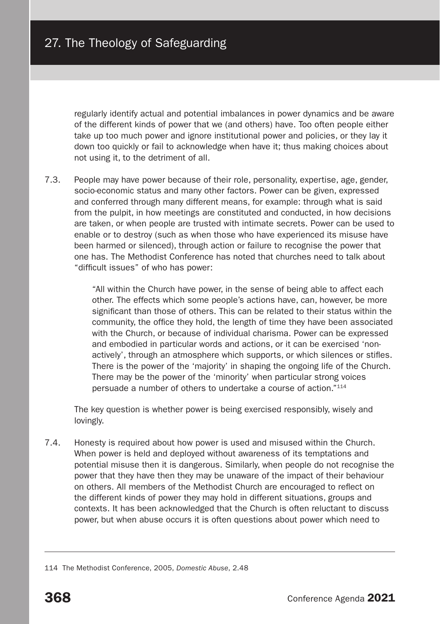regularly identify actual and potential imbalances in power dynamics and be aware of the different kinds of power that we (and others) have. Too often people either take up too much power and ignore institutional power and policies, or they lay it down too quickly or fail to acknowledge when have it; thus making choices about not using it, to the detriment of all.

7.3. People may have power because of their role, personality, expertise, age, gender, socio-economic status and many other factors. Power can be given, expressed and conferred through many different means, for example: through what is said from the pulpit, in how meetings are constituted and conducted, in how decisions are taken, or when people are trusted with intimate secrets. Power can be used to enable or to destroy (such as when those who have experienced its misuse have been harmed or silenced), through action or failure to recognise the power that one has. The Methodist Conference has noted that churches need to talk about "difficult issues" of who has power:

> "All within the Church have power, in the sense of being able to affect each other. The effects which some people's actions have, can, however, be more significant than those of others. This can be related to their status within the community, the office they hold, the length of time they have been associated with the Church, or because of individual charisma. Power can be expressed and embodied in particular words and actions, or it can be exercised 'nonactively', through an atmosphere which supports, or which silences or stifles. There is the power of the 'majority' in shaping the ongoing life of the Church. There may be the power of the 'minority' when particular strong voices persuade a number of others to undertake a course of action."114

The key question is whether power is being exercised responsibly, wisely and lovingly.

7.4. Honesty is required about how power is used and misused within the Church. When power is held and deployed without awareness of its temptations and potential misuse then it is dangerous. Similarly, when people do not recognise the power that they have then they may be unaware of the impact of their behaviour on others. All members of the Methodist Church are encouraged to reflect on the different kinds of power they may hold in different situations, groups and contexts. It has been acknowledged that the Church is often reluctant to discuss power, but when abuse occurs it is often questions about power which need to

<sup>114</sup> The Methodist Conference, 2005, *Domestic Abuse*, 2.48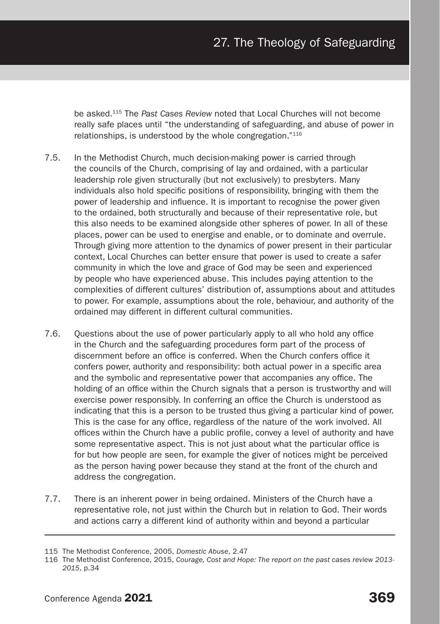be asked.115 The *Past Cases Review* noted that Local Churches will not become really safe places until "the understanding of safeguarding, and abuse of power in relationships, is understood by the whole congregation."116

- 7.5. In the Methodist Church, much decision-making power is carried through the councils of the Church, comprising of lay and ordained, with a particular leadership role given structurally (but not exclusively) to presbyters. Many individuals also hold specific positions of responsibility, bringing with them the power of leadership and influence. It is important to recognise the power given to the ordained, both structurally and because of their representative role, but this also needs to be examined alongside other spheres of power. In all of these places, power can be used to energise and enable, or to dominate and overrule. Through giving more attention to the dynamics of power present in their particular context, Local Churches can better ensure that power is used to create a safer community in which the love and grace of God may be seen and experienced by people who have experienced abuse. This includes paying attention to the complexities of different cultures' distribution of, assumptions about and attitudes to power. For example, assumptions about the role, behaviour, and authority of the ordained may different in different cultural communities.
- 7.6. Questions about the use of power particularly apply to all who hold any office in the Church and the safeguarding procedures form part of the process of discernment before an office is conferred. When the Church confers office it confers power, authority and responsibility: both actual power in a specific area and the symbolic and representative power that accompanies any office. The holding of an office within the Church signals that a person is trustworthy and will exercise power responsibly. In conferring an office the Church is understood as indicating that this is a person to be trusted thus giving a particular kind of power. This is the case for any office, regardless of the nature of the work involved. All offices within the Church have a public profile, convey a level of authority and have some representative aspect. This is not just about what the particular office is for but how people are seen, for example the giver of notices might be perceived as the person having power because they stand at the front of the church and address the congregation.
- 7.7. There is an inherent power in being ordained. Ministers of the Church have a representative role, not just within the Church but in relation to God. Their words and actions carry a different kind of authority within and beyond a particular

<sup>115</sup> The Methodist Conference, 2005, *Domestic Abuse*, 2.47

<sup>116</sup> The Methodist Conference, 2015, *Courage, Cost and Hope: The report on the past cases review 2013- 2015*, p.34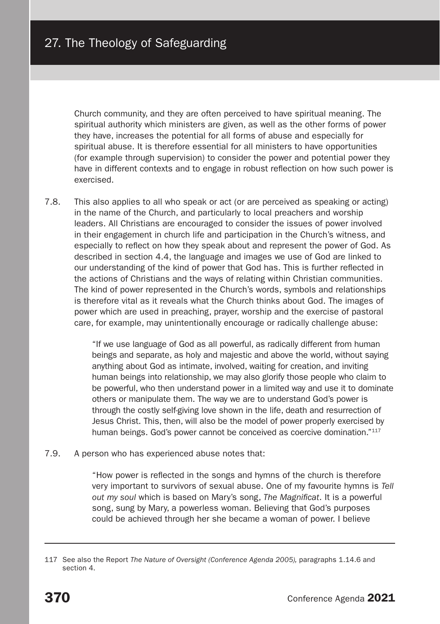Church community, and they are often perceived to have spiritual meaning. The spiritual authority which ministers are given, as well as the other forms of power they have, increases the potential for all forms of abuse and especially for spiritual abuse. It is therefore essential for all ministers to have opportunities (for example through supervision) to consider the power and potential power they have in different contexts and to engage in robust reflection on how such power is exercised.

7.8. This also applies to all who speak or act (or are perceived as speaking or acting) in the name of the Church, and particularly to local preachers and worship leaders. All Christians are encouraged to consider the issues of power involved in their engagement in church life and participation in the Church's witness, and especially to reflect on how they speak about and represent the power of God. As described in section 4.4, the language and images we use of God are linked to our understanding of the kind of power that God has. This is further reflected in the actions of Christians and the ways of relating within Christian communities. The kind of power represented in the Church's words, symbols and relationships is therefore vital as it reveals what the Church thinks about God. The images of power which are used in preaching, prayer, worship and the exercise of pastoral care, for example, may unintentionally encourage or radically challenge abuse:

> "If we use language of God as all powerful, as radically different from human beings and separate, as holy and majestic and above the world, without saying anything about God as intimate, involved, waiting for creation, and inviting human beings into relationship, we may also glorify those people who claim to be powerful, who then understand power in a limited way and use it to dominate others or manipulate them. The way we are to understand God's power is through the costly self-giving love shown in the life, death and resurrection of Jesus Christ. This, then, will also be the model of power properly exercised by human beings. God's power cannot be conceived as coercive domination."<sup>117</sup>

7.9. A person who has experienced abuse notes that:

"How power is reflected in the songs and hymns of the church is therefore very important to survivors of sexual abuse. One of my favourite hymns is *Tell out my soul* which is based on Mary's song, *The Magnificat*. It is a powerful song, sung by Mary, a powerless woman. Believing that God's purposes could be achieved through her she became a woman of power. I believe

<sup>117</sup> See also the Report *The Nature of Oversight (Conference Agenda 2005),* paragraphs 1.14.6 and section 4.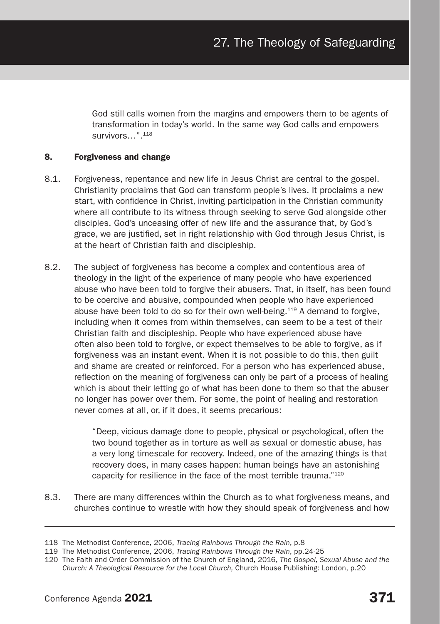God still calls women from the margins and empowers them to be agents of transformation in today's world. In the same way God calls and empowers survivors…".118

# 8. Forgiveness and change

- 8.1. Forgiveness, repentance and new life in Jesus Christ are central to the gospel. Christianity proclaims that God can transform people's lives. It proclaims a new start, with confidence in Christ, inviting participation in the Christian community where all contribute to its witness through seeking to serve God alongside other disciples. God's unceasing offer of new life and the assurance that, by God's grace, we are justified, set in right relationship with God through Jesus Christ, is at the heart of Christian faith and discipleship.
- 8.2. The subject of forgiveness has become a complex and contentious area of theology in the light of the experience of many people who have experienced abuse who have been told to forgive their abusers. That, in itself, has been found to be coercive and abusive, compounded when people who have experienced abuse have been told to do so for their own well-being.119 A demand to forgive, including when it comes from within themselves, can seem to be a test of their Christian faith and discipleship. People who have experienced abuse have often also been told to forgive, or expect themselves to be able to forgive, as if forgiveness was an instant event. When it is not possible to do this, then guilt and shame are created or reinforced. For a person who has experienced abuse, reflection on the meaning of forgiveness can only be part of a process of healing which is about their letting go of what has been done to them so that the abuser no longer has power over them. For some, the point of healing and restoration never comes at all, or, if it does, it seems precarious:

"Deep, vicious damage done to people, physical or psychological, often the two bound together as in torture as well as sexual or domestic abuse, has a very long timescale for recovery. Indeed, one of the amazing things is that recovery does, in many cases happen: human beings have an astonishing capacity for resilience in the face of the most terrible trauma."120

8.3. There are many differences within the Church as to what forgiveness means, and churches continue to wrestle with how they should speak of forgiveness and how

<sup>118</sup> The Methodist Conference, 2006, *Tracing Rainbows Through the Rain*, p.8

<sup>119</sup> The Methodist Conference, 2006, *Tracing Rainbows Through the Rain*, pp.24-25

<sup>120</sup> The Faith and Order Commission of the Church of England, 2016, *The Gospel, Sexual Abuse and the Church: A Theological Resource for the Local Church,* Church House Publishing: London, p.20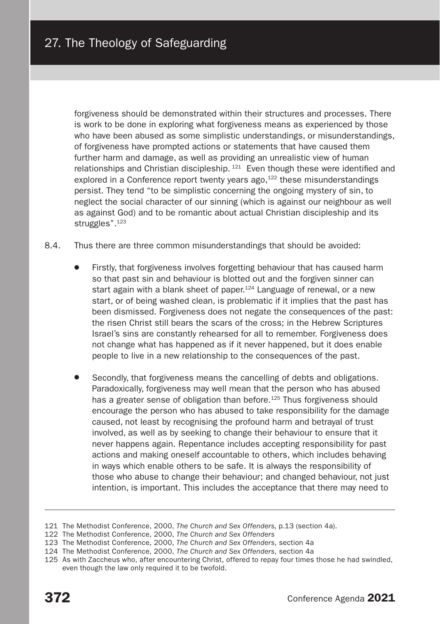forgiveness should be demonstrated within their structures and processes. There is work to be done in exploring what forgiveness means as experienced by those who have been abused as some simplistic understandings, or misunderstandings, of forgiveness have prompted actions or statements that have caused them further harm and damage, as well as providing an unrealistic view of human relationships and Christian discipleship.  $121$  Even though these were identified and explored in a Conference report twenty years ago, $122$  these misunderstandings persist. They tend "to be simplistic concerning the ongoing mystery of sin, to neglect the social character of our sinning (which is against our neighbour as well as against God) and to be romantic about actual Christian discipleship and its struggles".<sup>123</sup>

- 8.4. Thus there are three common misunderstandings that should be avoided:
	- Firstly, that forgiveness involves forgetting behaviour that has caused harm so that past sin and behaviour is blotted out and the forgiven sinner can start again with a blank sheet of paper.<sup>124</sup> Language of renewal, or a new start, or of being washed clean, is problematic if it implies that the past has been dismissed. Forgiveness does not negate the consequences of the past: the risen Christ still bears the scars of the cross; in the Hebrew Scriptures Israel's sins are constantly rehearsed for all to remember. Forgiveness does not change what has happened as if it never happened, but it does enable people to live in a new relationship to the consequences of the past.
	- Secondly, that forgiveness means the cancelling of debts and obligations. Paradoxically, forgiveness may well mean that the person who has abused has a greater sense of obligation than before.<sup>125</sup> Thus forgiveness should encourage the person who has abused to take responsibility for the damage caused, not least by recognising the profound harm and betrayal of trust involved, as well as by seeking to change their behaviour to ensure that it never happens again. Repentance includes accepting responsibility for past actions and making oneself accountable to others, which includes behaving in ways which enable others to be safe. It is always the responsibility of those who abuse to change their behaviour; and changed behaviour, not just intention, is important. This includes the acceptance that there may need to

<sup>121</sup> The Methodist Conference, 2000, *The Church and Sex Offenders,* p.13 (section 4a).

<sup>122</sup> The Methodist Conference, 2000, *The Church and Sex Offenders*

<sup>123</sup> The Methodist Conference, 2000, *The Church and Sex Offenders*, section 4a

<sup>124</sup> The Methodist Conference, 2000, *The Church and Sex Offenders*, section 4a

<sup>125</sup> As with Zaccheus who, after encountering Christ, offered to repay four times those he had swindled, even though the law only required it to be twofold.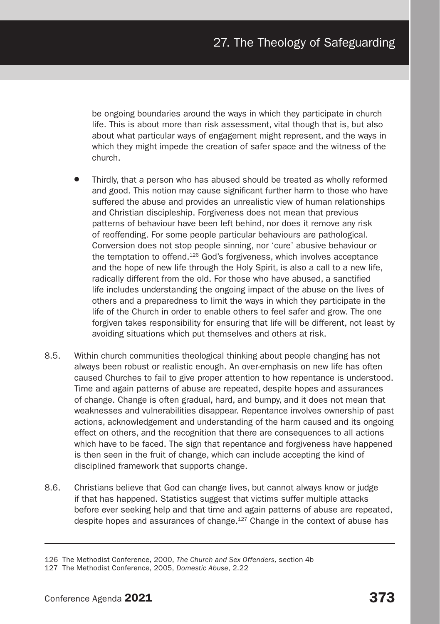be ongoing boundaries around the ways in which they participate in church life. This is about more than risk assessment, vital though that is, but also about what particular ways of engagement might represent, and the ways in which they might impede the creation of safer space and the witness of the church.

- Thirdly, that a person who has abused should be treated as wholly reformed and good. This notion may cause significant further harm to those who have suffered the abuse and provides an unrealistic view of human relationships and Christian discipleship. Forgiveness does not mean that previous patterns of behaviour have been left behind, nor does it remove any risk of reoffending. For some people particular behaviours are pathological. Conversion does not stop people sinning, nor 'cure' abusive behaviour or the temptation to offend.<sup>126</sup> God's forgiveness, which involves acceptance and the hope of new life through the Holy Spirit, is also a call to a new life, radically different from the old. For those who have abused, a sanctified life includes understanding the ongoing impact of the abuse on the lives of others and a preparedness to limit the ways in which they participate in the life of the Church in order to enable others to feel safer and grow. The one forgiven takes responsibility for ensuring that life will be different, not least by avoiding situations which put themselves and others at risk.
- 8.5. Within church communities theological thinking about people changing has not always been robust or realistic enough. An over-emphasis on new life has often caused Churches to fail to give proper attention to how repentance is understood. Time and again patterns of abuse are repeated, despite hopes and assurances of change. Change is often gradual, hard, and bumpy, and it does not mean that weaknesses and vulnerabilities disappear. Repentance involves ownership of past actions, acknowledgement and understanding of the harm caused and its ongoing effect on others, and the recognition that there are consequences to all actions which have to be faced. The sign that repentance and forgiveness have happened is then seen in the fruit of change, which can include accepting the kind of disciplined framework that supports change.
- 8.6. Christians believe that God can change lives, but cannot always know or judge if that has happened. Statistics suggest that victims suffer multiple attacks before ever seeking help and that time and again patterns of abuse are repeated, despite hopes and assurances of change.127 Change in the context of abuse has

<sup>126</sup> The Methodist Conference, 2000, *The Church and Sex Offenders,* section 4b

<sup>127</sup> The Methodist Conference, 2005, *Domestic Abuse*, 2.22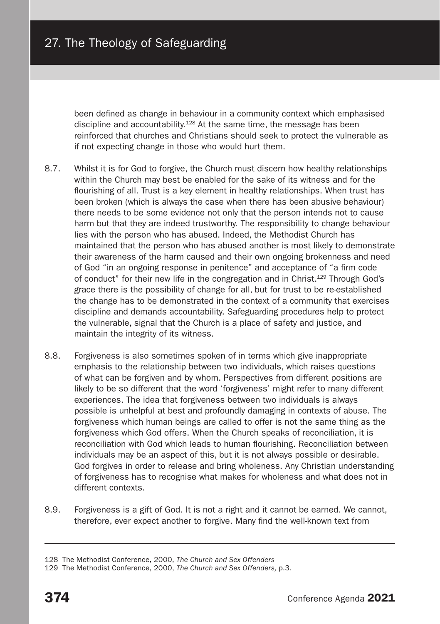been defined as change in behaviour in a community context which emphasised discipline and accountability.128 At the same time, the message has been reinforced that churches and Christians should seek to protect the vulnerable as if not expecting change in those who would hurt them.

- 8.7. Whilst it is for God to forgive, the Church must discern how healthy relationships within the Church may best be enabled for the sake of its witness and for the flourishing of all. Trust is a key element in healthy relationships. When trust has been broken (which is always the case when there has been abusive behaviour) there needs to be some evidence not only that the person intends not to cause harm but that they are indeed trustworthy. The responsibility to change behaviour lies with the person who has abused. Indeed, the Methodist Church has maintained that the person who has abused another is most likely to demonstrate their awareness of the harm caused and their own ongoing brokenness and need of God "in an ongoing response in penitence" and acceptance of "a firm code of conduct" for their new life in the congregation and in Christ.129 Through God's grace there is the possibility of change for all, but for trust to be re-established the change has to be demonstrated in the context of a community that exercises discipline and demands accountability. Safeguarding procedures help to protect the vulnerable, signal that the Church is a place of safety and justice, and maintain the integrity of its witness.
- 8.8. Forgiveness is also sometimes spoken of in terms which give inappropriate emphasis to the relationship between two individuals, which raises questions of what can be forgiven and by whom. Perspectives from different positions are likely to be so different that the word 'forgiveness' might refer to many different experiences. The idea that forgiveness between two individuals is always possible is unhelpful at best and profoundly damaging in contexts of abuse. The forgiveness which human beings are called to offer is not the same thing as the forgiveness which God offers. When the Church speaks of reconciliation, it is reconciliation with God which leads to human flourishing. Reconciliation between individuals may be an aspect of this, but it is not always possible or desirable. God forgives in order to release and bring wholeness. Any Christian understanding of forgiveness has to recognise what makes for wholeness and what does not in different contexts.
- 8.9. Forgiveness is a gift of God. It is not a right and it cannot be earned. We cannot, therefore, ever expect another to forgive. Many find the well-known text from

<sup>128</sup> The Methodist Conference, 2000, *The Church and Sex Offenders*

<sup>129</sup> The Methodist Conference, 2000, *The Church and Sex Offenders,* p.3.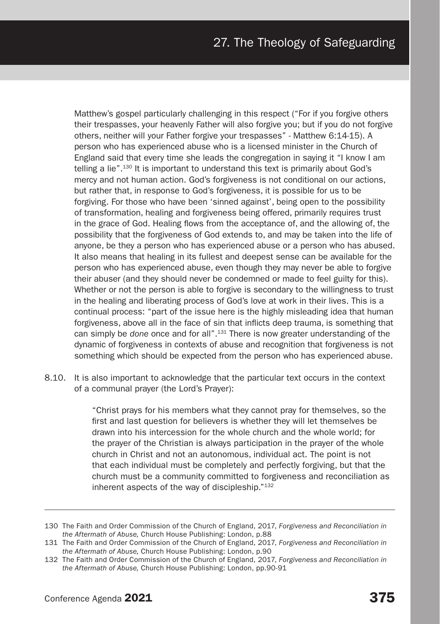Matthew's gospel particularly challenging in this respect ("For if you forgive others their trespasses, your heavenly Father will also forgive you; but if you do not forgive others, neither will your Father forgive your trespasses" - Matthew 6:14-15). A person who has experienced abuse who is a licensed minister in the Church of England said that every time she leads the congregation in saying it "I know I am telling a lie".<sup>130</sup> It is important to understand this text is primarily about God's mercy and not human action. God's forgiveness is not conditional on our actions, but rather that, in response to God's forgiveness, it is possible for us to be forgiving. For those who have been 'sinned against', being open to the possibility of transformation, healing and forgiveness being offered, primarily requires trust in the grace of God. Healing flows from the acceptance of, and the allowing of, the possibility that the forgiveness of God extends to, and may be taken into the life of anyone, be they a person who has experienced abuse or a person who has abused. It also means that healing in its fullest and deepest sense can be available for the person who has experienced abuse, even though they may never be able to forgive their abuser (and they should never be condemned or made to feel guilty for this). Whether or not the person is able to forgive is secondary to the willingness to trust in the healing and liberating process of God's love at work in their lives. This is a continual process: "part of the issue here is the highly misleading idea that human forgiveness, above all in the face of sin that inflicts deep trauma, is something that can simply be *done* once and for all".131 There is now greater understanding of the dynamic of forgiveness in contexts of abuse and recognition that forgiveness is not something which should be expected from the person who has experienced abuse.

8.10. It is also important to acknowledge that the particular text occurs in the context of a communal prayer (the Lord's Prayer):

> "Christ prays for his members what they cannot pray for themselves, so the first and last question for believers is whether they will let themselves be drawn into his intercession for the whole church and the whole world; for the prayer of the Christian is always participation in the prayer of the whole church in Christ and not an autonomous, individual act. The point is not that each individual must be completely and perfectly forgiving, but that the church must be a community committed to forgiveness and reconciliation as inherent aspects of the way of discipleship."132

<sup>130</sup> The Faith and Order Commission of the Church of England, 2017, *Forgiveness and Reconciliation in the Aftermath of Abuse,* Church House Publishing: London, p.88

<sup>131</sup> The Faith and Order Commission of the Church of England, 2017, *Forgiveness and Reconciliation in the Aftermath of Abuse,* Church House Publishing: London, p.90

<sup>132</sup> The Faith and Order Commission of the Church of England, 2017, *Forgiveness and Reconciliation in the Aftermath of Abuse,* Church House Publishing: London, pp.90-91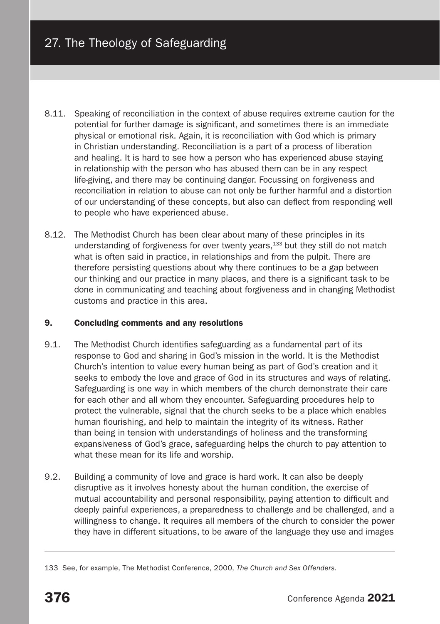- 8.11. Speaking of reconciliation in the context of abuse requires extreme caution for the potential for further damage is significant, and sometimes there is an immediate physical or emotional risk. Again, it is reconciliation with God which is primary in Christian understanding. Reconciliation is a part of a process of liberation and healing. It is hard to see how a person who has experienced abuse staying in relationship with the person who has abused them can be in any respect life-giving, and there may be continuing danger. Focussing on forgiveness and reconciliation in relation to abuse can not only be further harmful and a distortion of our understanding of these concepts, but also can deflect from responding well to people who have experienced abuse.
- 8.12. The Methodist Church has been clear about many of these principles in its understanding of forgiveness for over twenty years,133 but they still do not match what is often said in practice, in relationships and from the pulpit. There are therefore persisting questions about why there continues to be a gap between our thinking and our practice in many places, and there is a significant task to be done in communicating and teaching about forgiveness and in changing Methodist customs and practice in this area.

# 9. Concluding comments and any resolutions

- 9.1. The Methodist Church identifies safeguarding as a fundamental part of its response to God and sharing in God's mission in the world. It is the Methodist Church's intention to value every human being as part of God's creation and it seeks to embody the love and grace of God in its structures and ways of relating. Safeguarding is one way in which members of the church demonstrate their care for each other and all whom they encounter. Safeguarding procedures help to protect the vulnerable, signal that the church seeks to be a place which enables human flourishing, and help to maintain the integrity of its witness. Rather than being in tension with understandings of holiness and the transforming expansiveness of God's grace, safeguarding helps the church to pay attention to what these mean for its life and worship.
- 9.2. Building a community of love and grace is hard work. It can also be deeply disruptive as it involves honesty about the human condition, the exercise of mutual accountability and personal responsibility, paying attention to difficult and deeply painful experiences, a preparedness to challenge and be challenged, and a willingness to change. It requires all members of the church to consider the power they have in different situations, to be aware of the language they use and images

<sup>133</sup> See, for example, The Methodist Conference, 2000, *The Church and Sex Offenders.*